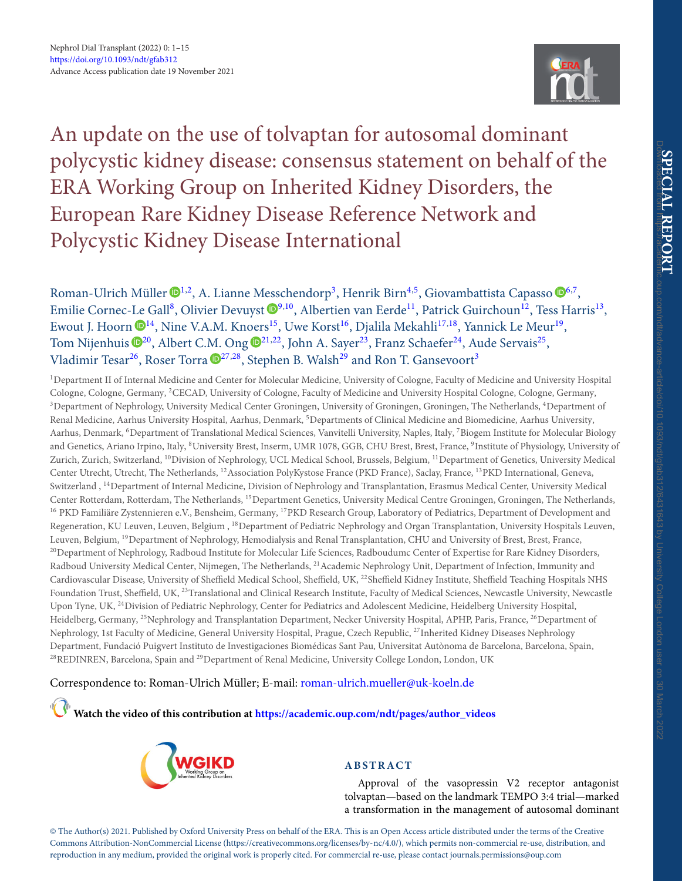<span id="page-0-3"></span>

An update on the use of tolvaptan for autosomal dominant polycystic kidney disease: consensus statement on behalf of the ERA Working Group on Inherited Kidney Disorders, the European Rare Kidney Disease Reference Network and Polycystic Kidney Disease International

Roman-Ulrich Müller  $\mathbf{D}^{1,2}$  $\mathbf{D}^{1,2}$  $\mathbf{D}^{1,2}$  $\mathbf{D}^{1,2}$ , A. Lianne Messchendorp<sup>3</sup>, Henrik Birn<sup>4[,5](#page-0-4)</sup>, Giovambattista Capasso  $\mathbf{D}^{6,7}$  $\mathbf{D}^{6,7}$  $\mathbf{D}^{6,7}$  $\mathbf{D}^{6,7}$ , Emilie Cornec-Le Gall<sup>8</sup>, Olivier Devuyst  $\mathbb{D}^{9,10}$  $\mathbb{D}^{9,10}$  $\mathbb{D}^{9,10}$ , Albertien van Eerde<sup>11</sup>, Patrick Guirchoun<sup>12</sup>, Tess Harris<sup>13</sup>, Ewout J. Hoorn  $\mathbb{D}^{14}$ , Nine V.A.M. Knoers<sup>15</sup>, Uwe Korst<sup>16</sup>, Djalila Mekahli<sup>17,18</sup>, Yannick Le Meur<sup>19</sup>, Tom Nijenhuis  $\mathbb{D}^{20}$ , Albert C.M. Ong  $\mathbb{D}^{21,22}$  $\mathbb{D}^{21,22}$  $\mathbb{D}^{21,22}$ , John A. Sayer<sup>23</sup>, Franz Schaefer<sup>24</sup>, Aude Servais<sup>25</sup>, Vladimir Tesar<sup>26</sup>, Roser Torra  $\mathbf{D}^{27,28}$  $\mathbf{D}^{27,28}$  $\mathbf{D}^{27,28}$ , Stephen B. Walsh<sup>29</sup> and Ron T. Gansevoort<sup>3</sup>

<span id="page-0-15"></span><span id="page-0-14"></span><span id="page-0-13"></span><span id="page-0-11"></span><span id="page-0-9"></span><span id="page-0-7"></span><span id="page-0-5"></span><span id="page-0-4"></span><span id="page-0-2"></span><span id="page-0-1"></span><span id="page-0-0"></span><sup>1</sup>Department II of Internal Medicine and Center for Molecular Medicine, University of Cologne, Faculty of Medicine and University Hospital Cologne, Cologne, Germany, 2CECAD, University of Cologne, Faculty of Medicine and University Hospital Cologne, Cologne, Germany, <sup>3</sup>Department of Nephrology, University Medical Center Groningen, University of Groningen, Groningen, The Netherlands, <sup>4</sup>Department of Renal Medicine, Aarhus University Hospital, Aarhus, Denmark, <sup>5</sup>Departments of Clinical Medicine and Biomedicine, Aarhus University, Aarhus, Denmark, <sup>6</sup>Department of Translational Medical Sciences, Vanvitelli University, Naples, Italy, <sup>7</sup>Biogem Institute for Molecular Biology and Genetics, Ariano Irpino, Italy, <sup>8</sup>University Brest, Inserm, UMR 1078, GGB, CHU Brest, Brest, France, <sup>9</sup>Institute of Physiology, University of Zurich, Zurich, Switzerland, 10Division of Nephrology, UCL Medical School, Brussels, Belgium, 11Department of Genetics, University Medical Center Utrecht, Utrecht, The Netherlands, 12Association PolyKystose France (PKD France), Saclay, France, 13PKD International, Geneva, Switzerland , 14Department of Internal Medicine, Division of Nephrology and Transplantation, Erasmus Medical Center, University Medical Center Rotterdam, Rotterdam, The Netherlands, 15Department Genetics, University Medical Centre Groningen, Groningen, The Netherlands, <sup>16</sup> PKD Familiäre Zystennieren e.V., Bensheim, Germany, <sup>17</sup>PKD Research Group, Laboratory of Pediatrics, Department of Development and Regeneration, KU Leuven, Leuven, Belgium , 18Department of Pediatric Nephrology and Organ Transplantation, University Hospitals Leuven, Leuven, Belgium, <sup>19</sup>Department of Nephrology, Hemodialysis and Renal Transplantation, CHU and University of Brest, Brest, France, <sup>20</sup>Department of Nephrology, Radboud Institute for Molecular Life Sciences, Radboudumc Center of Expertise for Rare Kidney Disorders, Radboud University Medical Center, Nijmegen, The Netherlands, <sup>21</sup> Academic Nephrology Unit, Department of Infection, Immunity and Cardiovascular Disease, University of Sheffield Medical School, Sheffield, UK, <sup>22</sup>Sheffield Kidney Institute, Sheffield Teaching Hospitals NHS Foundation Trust, Sheffield, UK, <sup>23</sup>Translational and Clinical Research Institute, Faculty of Medical Sciences, Newcastle University, Newcastle Upon Tyne, UK, 24Division of Pediatric Nephrology, Center for Pediatrics and Adolescent Medicine, Heidelberg University Hospital, Heidelberg, Germany, <sup>25</sup>Nephrology and Transplantation Department, Necker University Hospital, APHP, Paris, France, <sup>26</sup>Department of Nephrology, 1st Faculty of Medicine, General University Hospital, Prague, Czech Republic, <sup>27</sup>Inherited Kidney Diseases Nephrology Department, Fundació Puigvert Instituto de Investigaciones Biomédicas Sant Pau, Universitat Autònoma de Barcelona, Barcelona, Spain, <sup>28</sup>REDINREN, Barcelona, Spain and <sup>29</sup>Department of Renal Medicine, University College London, London, UK

<span id="page-0-27"></span><span id="page-0-24"></span><span id="page-0-23"></span><span id="page-0-19"></span><span id="page-0-18"></span>Correspondence to: Roman-Ulrich Müller; E-mail: [roman-ulrich.mueller@uk-koeln.de](mailto:roman-ulrich.mueller@uk-koeln.de)

**Watch the video of this contribution at [https://academic.oup.com/ndt/pages/author\\_videos](https://academic.oup.com/ndt/pages/author_videos)**

<span id="page-0-28"></span><span id="page-0-22"></span><span id="page-0-17"></span>

# <span id="page-0-26"></span><span id="page-0-25"></span><span id="page-0-21"></span><span id="page-0-20"></span><span id="page-0-16"></span><span id="page-0-12"></span><span id="page-0-10"></span><span id="page-0-8"></span><span id="page-0-6"></span>**ABSTRACT**

Approval of the vasopressin V2 receptor antagonist tolvaptan—based on the landmark TEMPO 3:4 trial—marked a transformation in the management of autosomal dominant

© The Author(s) 2021. Published by Oxford University Press on behalf of the ERA. This is an Open Access article distributed under the terms of the Creative Commons Attribution-NonCommercial License [\(https://creativecommons.org/licenses/by-nc/4.0/\)](https://creativecommons.org/licenses/by-nc/4.0/), which permits non-commercial re-use, distribution, and reproduction in any medium, provided the original work is properly cited. For commercial re-use, please contact [journals.permissions@oup.com](mailto:journals.permissions@oup.com)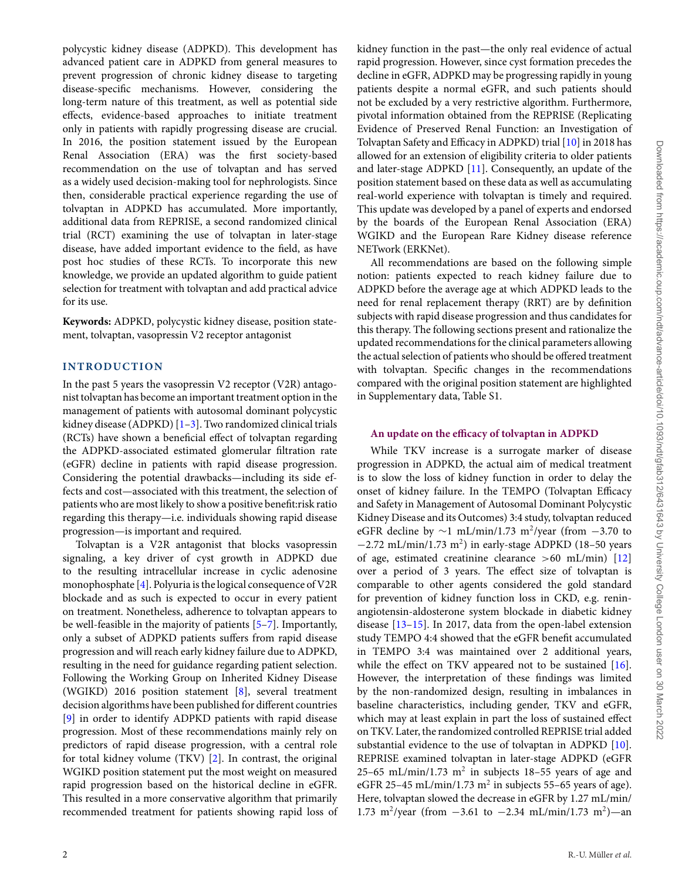polycystic kidney disease (ADPKD). This development has advanced patient care in ADPKD from general measures to prevent progression of chronic kidney disease to targeting disease-specific mechanisms. However, considering the long-term nature of this treatment, as well as potential side effects, evidence-based approaches to initiate treatment only in patients with rapidly progressing disease are crucial. In 2016, the position statement issued by the European Renal Association (ERA) was the first society-based recommendation on the use of tolvaptan and has served as a widely used decision-making tool for nephrologists. Since then, considerable practical experience regarding the use of tolvaptan in ADPKD has accumulated. More importantly, additional data from REPRISE, a second randomized clinical trial (RCT) examining the use of tolvaptan in later-stage disease, have added important evidence to the field, as have post hoc studies of these RCTs. To incorporate this new knowledge, we provide an updated algorithm to guide patient selection for treatment with tolvaptan and add practical advice for its use.

**Keywords:** ADPKD, polycystic kidney disease, position statement, tolvaptan, vasopressin V2 receptor antagonist

### **INTRODUCTION**

In the past 5 years the vasopressin V2 receptor (V2R) antagonist tolvaptan has become an important treatment option in the management of patients with autosomal dominant polycystic kidney disease (ADPKD)  $[1-3]$  $[1-3]$ . Two randomized clinical trials (RCTs) have shown a beneficial effect of tolvaptan regarding the ADPKD-associated estimated glomerular filtration rate (eGFR) decline in patients with rapid disease progression. Considering the potential drawbacks—including its side effects and cost—associated with this treatment, the selection of patients who are most likely to show a positive benefit:risk ratio regarding this therapy—i.e. individuals showing rapid disease progression—is important and required.

Tolvaptan is a V2R antagonist that blocks vasopressin signaling, a key driver of cyst growth in ADPKD due to the resulting intracellular increase in cyclic adenosine monophosphate [\[4\]](#page-13-2). Polyuria is the logical consequence of V2R blockade and as such is expected to occur in every patient on treatment. Nonetheless, adherence to tolvaptan appears to be well-feasible in the majority of patients [\[5–](#page-13-3)[7\]](#page-13-4). Importantly, only a subset of ADPKD patients suffers from rapid disease progression and will reach early kidney failure due to ADPKD, resulting in the need for guidance regarding patient selection. Following the Working Group on Inherited Kidney Disease (WGIKD) 2016 position statement [\[8\]](#page-13-5), several treatment decision algorithms have been published for different countries [\[9\]](#page-13-6) in order to identify ADPKD patients with rapid disease progression. Most of these recommendations mainly rely on predictors of rapid disease progression, with a central role for total kidney volume (TKV) [\[2\]](#page-13-7). In contrast, the original WGIKD position statement put the most weight on measured rapid progression based on the historical decline in eGFR. This resulted in a more conservative algorithm that primarily recommended treatment for patients showing rapid loss of kidney function in the past—the only real evidence of actual rapid progression. However, since cyst formation precedes the decline in eGFR, ADPKD may be progressing rapidly in young patients despite a normal eGFR, and such patients should not be excluded by a very restrictive algorithm. Furthermore, pivotal information obtained from the REPRISE (Replicating Evidence of Preserved Renal Function: an Investigation of Tolvaptan Safety and Efficacy in ADPKD) trial [\[10\]](#page-13-8) in 2018 has allowed for an extension of eligibility criteria to older patients and later-stage ADPKD [\[11\]](#page-13-9). Consequently, an update of the position statement based on these data as well as accumulating real-world experience with tolvaptan is timely and required. This update was developed by a panel of experts and endorsed by the boards of the European Renal Association (ERA) WGIKD and the European Rare Kidney disease reference NETwork (ERKNet).

All recommendations are based on the following simple notion: patients expected to reach kidney failure due to ADPKD before the average age at which ADPKD leads to the need for renal replacement therapy (RRT) are by definition subjects with rapid disease progression and thus candidates for this therapy. The following sections present and rationalize the updated recommendations for the clinical parameters allowing the actual selection of patients who should be offered treatment with tolvaptan. Specific changes in the recommendations compared with the original position statement are highlighted in Supplementary data, Table S1.

### **An update on the efficacy of tolvaptan in ADPKD**

While TKV increase is a surrogate marker of disease progression in ADPKD, the actual aim of medical treatment is to slow the loss of kidney function in order to delay the onset of kidney failure. In the TEMPO (Tolvaptan Efficacy and Safety in Management of Autosomal Dominant Polycystic Kidney Disease and its Outcomes) 3:4 study, tolvaptan reduced eGFR decline by  $\sim$ 1 mL/min/1.73 m<sup>2</sup>/year (from  $-3.70$  to  $-2.72$  mL/min/1.73 m<sup>2</sup>) in early-stage ADPKD (18–50 years of age, estimated creatinine clearance >60 mL/min) [\[12\]](#page-13-10) over a period of 3 years. The effect size of tolvaptan is comparable to other agents considered the gold standard for prevention of kidney function loss in CKD, e.g. reninangiotensin-aldosterone system blockade in diabetic kidney disease [\[13](#page-13-11)[–15\]](#page-13-12). In 2017, data from the open-label extension study TEMPO 4:4 showed that the eGFR benefit accumulated in TEMPO 3:4 was maintained over 2 additional years, while the effect on TKV appeared not to be sustained [\[16\]](#page-13-13). However, the interpretation of these findings was limited by the non-randomized design, resulting in imbalances in baseline characteristics, including gender, TKV and eGFR, which may at least explain in part the loss of sustained effect on TKV. Later, the randomized controlled REPRISE trial added substantial evidence to the use of tolvaptan in ADPKD [\[10\]](#page-13-8). REPRISE examined tolvaptan in later-stage ADPKD (eGFR 25–65 mL/min/1.73 m<sup>2</sup> in subjects 18–55 years of age and eGFR 25-45 mL/min/1.73 m<sup>2</sup> in subjects 55-65 years of age). Here, tolvaptan slowed the decrease in eGFR by 1.27 mL/min/ 1.73 m<sup>2</sup>/year (from  $-3.61$  to  $-2.34$  mL/min/1.73 m<sup>2</sup>)—an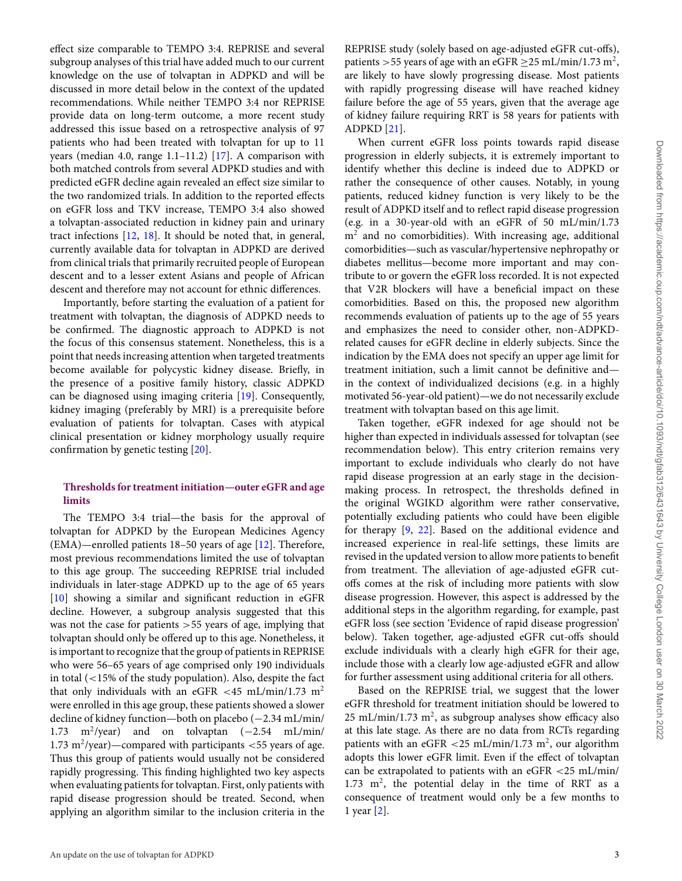effect size comparable to TEMPO 3:4. REPRISE and several subgroup analyses of this trial have added much to our current knowledge on the use of tolvaptan in ADPKD and will be discussed in more detail below in the context of the updated recommendations. While neither TEMPO 3:4 nor REPRISE provide data on long-term outcome, a more recent study addressed this issue based on a retrospective analysis of 97 patients who had been treated with tolvaptan for up to 11 years (median 4.0, range 1.1–11.2) [\[17\]](#page-13-14). A comparison with both matched controls from several ADPKD studies and with predicted eGFR decline again revealed an effect size similar to the two randomized trials. In addition to the reported effects on eGFR loss and TKV increase, TEMPO 3:4 also showed a tolvaptan-associated reduction in kidney pain and urinary tract infections [\[12,](#page-13-10) [18\]](#page-13-15). It should be noted that, in general, currently available data for tolvaptan in ADPKD are derived from clinical trials that primarily recruited people of European descent and to a lesser extent Asians and people of African descent and therefore may not account for ethnic differences.

Importantly, before starting the evaluation of a patient for treatment with tolvaptan, the diagnosis of ADPKD needs to be confirmed. The diagnostic approach to ADPKD is not the focus of this consensus statement. Nonetheless, this is a point that needs increasing attention when targeted treatments become available for polycystic kidney disease. Briefly, in the presence of a positive family history, classic ADPKD can be diagnosed using imaging criteria [\[19\]](#page-13-16). Consequently, kidney imaging (preferably by MRI) is a prerequisite before evaluation of patients for tolvaptan. Cases with atypical clinical presentation or kidney morphology usually require confirmation by genetic testing [\[20\]](#page-13-17).

# **Thresholds for treatment initiation—outer eGFR and age limits**

The TEMPO 3:4 trial—the basis for the approval of tolvaptan for ADPKD by the European Medicines Agency (EMA)—enrolled patients 18–50 years of age [\[12\]](#page-13-10). Therefore, most previous recommendations limited the use of tolvaptan to this age group. The succeeding REPRISE trial included individuals in later-stage ADPKD up to the age of 65 years [\[10\]](#page-13-8) showing a similar and significant reduction in eGFR decline. However, a subgroup analysis suggested that this was not the case for patients >55 years of age, implying that tolvaptan should only be offered up to this age. Nonetheless, it is important to recognize that the group of patients in REPRISE who were 56–65 years of age comprised only 190 individuals in total (<15% of the study population). Also, despite the fact that only individuals with an eGFR <45 mL/min/1.73 m<sup>2</sup> were enrolled in this age group, these patients showed a slower decline of kidney function—both on placebo (−2.34 mL/min/ 1.73 m<sup>2</sup>/year) and on tolvaptan  $(-2.54 \text{ mL/min/}$ 1.73 m<sup>2</sup>/year)—compared with participants  $<$  55 years of age. Thus this group of patients would usually not be considered rapidly progressing. This finding highlighted two key aspects when evaluating patients for tolvaptan. First, only patients with rapid disease progression should be treated. Second, when applying an algorithm similar to the inclusion criteria in the

REPRISE study (solely based on age-adjusted eGFR cut-offs), patients > 55 years of age with an eGFR  $\geq$  25 mL/min/1.73 m<sup>2</sup>, are likely to have slowly progressing disease. Most patients with rapidly progressing disease will have reached kidney failure before the age of 55 years, given that the average age of kidney failure requiring RRT is 58 years for patients with ADPKD [\[21\]](#page-13-18).

When current eGFR loss points towards rapid disease progression in elderly subjects, it is extremely important to identify whether this decline is indeed due to ADPKD or rather the consequence of other causes. Notably, in young patients, reduced kidney function is very likely to be the result of ADPKD itself and to reflect rapid disease progression (e.g. in a 30-year-old with an eGFR of 50 mL/min/1.73  $m<sup>2</sup>$  and no comorbidities). With increasing age, additional comorbidities—such as vascular/hypertensive nephropathy or diabetes mellitus—become more important and may contribute to or govern the eGFR loss recorded. It is not expected that V2R blockers will have a beneficial impact on these comorbidities. Based on this, the proposed new algorithm recommends evaluation of patients up to the age of 55 years and emphasizes the need to consider other, non-ADPKDrelated causes for eGFR decline in elderly subjects. Since the indication by the EMA does not specify an upper age limit for treatment initiation, such a limit cannot be definitive and in the context of individualized decisions (e.g. in a highly motivated 56-year-old patient)—we do not necessarily exclude treatment with tolvaptan based on this age limit.

Taken together, eGFR indexed for age should not be higher than expected in individuals assessed for tolvaptan (see recommendation below). This entry criterion remains very important to exclude individuals who clearly do not have rapid disease progression at an early stage in the decisionmaking process. In retrospect, the thresholds defined in the original WGIKD algorithm were rather conservative, potentially excluding patients who could have been eligible for therapy [\[9,](#page-13-6) [22\]](#page-13-19). Based on the additional evidence and increased experience in real-life settings, these limits are revised in the updated version to allow more patients to benefit from treatment. The alleviation of age-adjusted eGFR cutoffs comes at the risk of including more patients with slow disease progression. However, this aspect is addressed by the additional steps in the algorithm regarding, for example, past eGFR loss (see section 'Evidence of rapid disease progression' below). Taken together, age-adjusted eGFR cut-offs should exclude individuals with a clearly high eGFR for their age, include those with a clearly low age-adjusted eGFR and allow for further assessment using additional criteria for all others.

Based on the REPRISE trial, we suggest that the lower eGFR threshold for treatment initiation should be lowered to  $25$  mL/min/1.73 m<sup>2</sup>, as subgroup analyses show efficacy also at this late stage. As there are no data from RCTs regarding patients with an eGFR  $<$  25 mL/min/1.73 m<sup>2</sup>, our algorithm adopts this lower eGFR limit. Even if the effect of tolvaptan can be extrapolated to patients with an eGFR <25 mL/min/  $1.73 \text{ m}^2$ , the potential delay in the time of RRT as a consequence of treatment would only be a few months to 1 year [\[2\]](#page-13-7).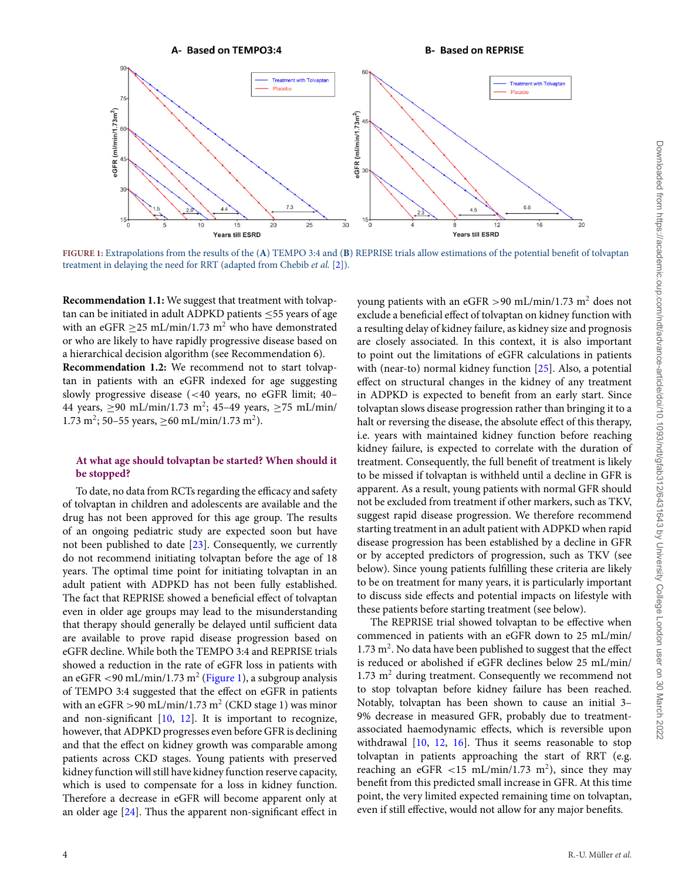<span id="page-3-0"></span>

**FIGURE 1:** Extrapolations from the results of the (**A**) TEMPO 3:4 and (**B**) REPRISE trials allow estimations of the potential benefit of tolvaptan treatment in delaying the need for RRT (adapted from Chebib *et al.* [\[2\]](#page-13-7)).

**Recommendation 1.1:** We suggest that treatment with tolvaptan can be initiated in adult ADPKD patients  $\leq$ 55 years of age with an eGFR  $\geq$  25 mL/min/1.73 m<sup>2</sup> who have demonstrated or who are likely to have rapidly progressive disease based on a hierarchical decision algorithm (see Recommendation 6). **Recommendation 1.2:** We recommend not to start tolvaptan in patients with an eGFR indexed for age suggesting slowly progressive disease (<40 years, no eGFR limit; 40– 44 years,  $\geq 90$  mL/min/1.73 m<sup>2</sup>; 45–49 years,  $\geq 75$  mL/min/ 1.73 m<sup>2</sup>; 50–55 years,  $\geq 60$  mL/min/1.73 m<sup>2</sup>).

# **At what age should tolvaptan be started? When should it be stopped?**

To date, no data from RCTs regarding the efficacy and safety of tolvaptan in children and adolescents are available and the drug has not been approved for this age group. The results of an ongoing pediatric study are expected soon but have not been published to date [\[23\]](#page-13-20). Consequently, we currently do not recommend initiating tolvaptan before the age of 18 years. The optimal time point for initiating tolvaptan in an adult patient with ADPKD has not been fully established. The fact that REPRISE showed a beneficial effect of tolvaptan even in older age groups may lead to the misunderstanding that therapy should generally be delayed until sufficient data are available to prove rapid disease progression based on eGFR decline. While both the TEMPO 3:4 and REPRISE trials showed a reduction in the rate of eGFR loss in patients with an eGFR  $\langle 90 \text{ mL/min}/1.73 \text{ m}^2 \times (Figure 1)$  $\langle 90 \text{ mL/min}/1.73 \text{ m}^2 \times (Figure 1)$ , a subgroup analysis of TEMPO 3:4 suggested that the effect on eGFR in patients with an eGFR > 90 mL/min/1.73 m<sup>2</sup> (CKD stage 1) was minor and non-significant [\[10,](#page-13-8) [12\]](#page-13-10). It is important to recognize, however, that ADPKD progresses even before GFR is declining and that the effect on kidney growth was comparable among patients across CKD stages. Young patients with preserved kidney function will still have kidney function reserve capacity, which is used to compensate for a loss in kidney function. Therefore a decrease in eGFR will become apparent only at an older age [\[24\]](#page-13-21). Thus the apparent non-significant effect in

young patients with an eGFR  $>90$  mL/min/1.73 m<sup>2</sup> does not exclude a beneficial effect of tolvaptan on kidney function with a resulting delay of kidney failure, as kidney size and prognosis are closely associated. In this context, it is also important to point out the limitations of eGFR calculations in patients with (near-to) normal kidney function [\[25\]](#page-13-22). Also, a potential effect on structural changes in the kidney of any treatment in ADPKD is expected to benefit from an early start. Since tolvaptan slows disease progression rather than bringing it to a halt or reversing the disease, the absolute effect of this therapy, i.e. years with maintained kidney function before reaching kidney failure, is expected to correlate with the duration of treatment. Consequently, the full benefit of treatment is likely to be missed if tolvaptan is withheld until a decline in GFR is apparent. As a result, young patients with normal GFR should not be excluded from treatment if other markers, such as TKV, suggest rapid disease progression. We therefore recommend starting treatment in an adult patient with ADPKD when rapid disease progression has been established by a decline in GFR or by accepted predictors of progression, such as TKV (see below). Since young patients fulfilling these criteria are likely to be on treatment for many years, it is particularly important to discuss side effects and potential impacts on lifestyle with these patients before starting treatment (see below).

The REPRISE trial showed tolvaptan to be effective when commenced in patients with an eGFR down to 25 mL/min/  $1.73 \text{ m}^2$ . No data have been published to suggest that the effect is reduced or abolished if eGFR declines below 25 mL/min/ 1.73  $m<sup>2</sup>$  during treatment. Consequently we recommend not to stop tolvaptan before kidney failure has been reached. Notably, tolvaptan has been shown to cause an initial 3– 9% decrease in measured GFR, probably due to treatmentassociated haemodynamic effects, which is reversible upon withdrawal [\[10,](#page-13-8) [12,](#page-13-10) [16\]](#page-13-13). Thus it seems reasonable to stop tolvaptan in patients approaching the start of RRT (e.g. reaching an eGFR <15 mL/min/1.73 m<sup>2</sup>), since they may benefit from this predicted small increase in GFR. At this time point, the very limited expected remaining time on tolvaptan, even if still effective, would not allow for any major benefits.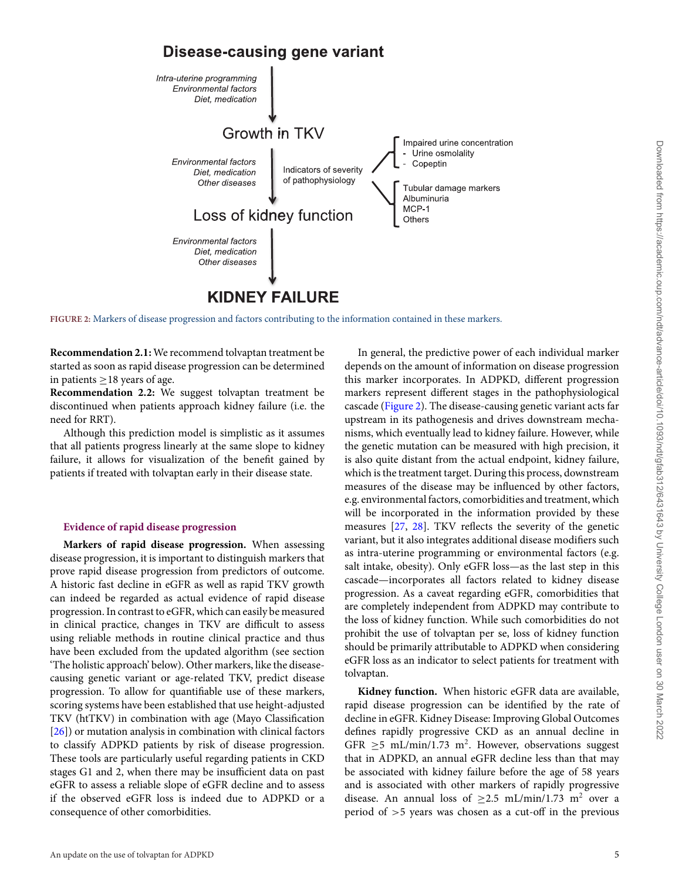# **Disease-causing gene variant**

<span id="page-4-0"></span>

**FIGURE 2:** Markers of disease progression and factors contributing to the information contained in these markers.

**Recommendation 2.1:** We recommend tolvaptan treatment be started as soon as rapid disease progression can be determined in patients  $\geq$  18 years of age.

**Recommendation 2.2:** We suggest tolvaptan treatment be discontinued when patients approach kidney failure (i.e. the need for RRT).

Although this prediction model is simplistic as it assumes that all patients progress linearly at the same slope to kidney failure, it allows for visualization of the benefit gained by patients if treated with tolvaptan early in their disease state.

#### **Evidence of rapid disease progression**

**Markers of rapid disease progression.** When assessing disease progression, it is important to distinguish markers that prove rapid disease progression from predictors of outcome. A historic fast decline in eGFR as well as rapid TKV growth can indeed be regarded as actual evidence of rapid disease progression. In contrast to eGFR, which can easily be measured in clinical practice, changes in TKV are difficult to assess using reliable methods in routine clinical practice and thus have been excluded from the updated algorithm (see section 'The holistic approach' below). Other markers, like the diseasecausing genetic variant or age-related TKV, predict disease progression. To allow for quantifiable use of these markers, scoring systems have been established that use height-adjusted TKV (htTKV) in combination with age (Mayo Classification [\[26\]](#page-13-23)) or mutation analysis in combination with clinical factors to classify ADPKD patients by risk of disease progression. These tools are particularly useful regarding patients in CKD stages G1 and 2, when there may be insufficient data on past eGFR to assess a reliable slope of eGFR decline and to assess if the observed eGFR loss is indeed due to ADPKD or a consequence of other comorbidities.

In general, the predictive power of each individual marker depends on the amount of information on disease progression this marker incorporates. In ADPKD, different progression markers represent different stages in the pathophysiological cascade [\(Figure 2\)](#page-4-0). The disease-causing genetic variant acts far upstream in its pathogenesis and drives downstream mechanisms, which eventually lead to kidney failure. However, while the genetic mutation can be measured with high precision, it is also quite distant from the actual endpoint, kidney failure, which is the treatment target. During this process, downstream measures of the disease may be influenced by other factors, e.g. environmental factors, comorbidities and treatment, which will be incorporated in the information provided by these measures [\[27,](#page-13-24) [28\]](#page-13-25). TKV reflects the severity of the genetic variant, but it also integrates additional disease modifiers such as intra-uterine programming or environmental factors (e.g. salt intake, obesity). Only eGFR loss—as the last step in this cascade—incorporates all factors related to kidney disease progression. As a caveat regarding eGFR, comorbidities that are completely independent from ADPKD may contribute to the loss of kidney function. While such comorbidities do not prohibit the use of tolvaptan per se, loss of kidney function should be primarily attributable to ADPKD when considering eGFR loss as an indicator to select patients for treatment with tolvaptan.

**Kidney function.** When historic eGFR data are available, rapid disease progression can be identified by the rate of decline in eGFR. Kidney Disease: Improving Global Outcomes defines rapidly progressive CKD as an annual decline in GFR  $\geq$ 5 mL/min/1.73 m<sup>2</sup>. However, observations suggest that in ADPKD, an annual eGFR decline less than that may be associated with kidney failure before the age of 58 years and is associated with other markers of rapidly progressive disease. An annual loss of  $\geq$ 2.5 mL/min/1.73 m<sup>2</sup> over a period of >5 years was chosen as a cut-off in the previous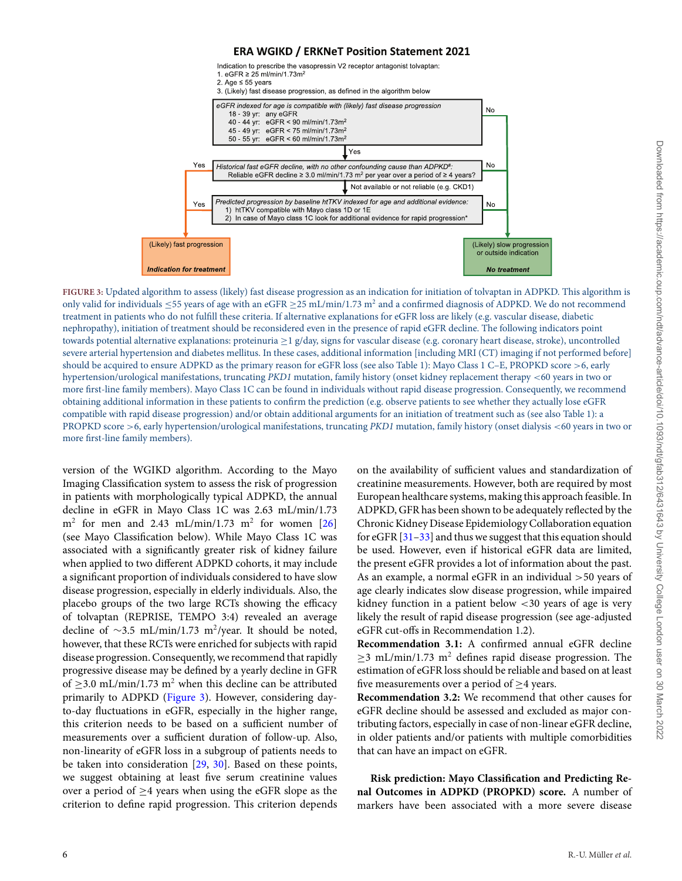### **ERA WGIKD / ERKNeT Position Statement 2021**

<span id="page-5-0"></span>

**FIGURE 3:** Updated algorithm to assess (likely) fast disease progression as an indication for initiation of tolvaptan in ADPKD. This algorithm is only valid for individuals  $\leq$ 55 years of age with an eGFR  $\geq$ 25 mL/min/1.73 m<sup>2</sup> and a confirmed diagnosis of ADPKD. We do not recommend treatment in patients who do not fulfill these criteria. If alternative explanations for eGFR loss are likely (e.g. vascular disease, diabetic nephropathy), initiation of treatment should be reconsidered even in the presence of rapid eGFR decline. The following indicators point towards potential alternative explanations: proteinuria ≥1 g/day, signs for vascular disease (e.g. coronary heart disease, stroke), uncontrolled severe arterial hypertension and diabetes mellitus. In these cases, additional information [including MRI (CT) imaging if not performed before] should be acquired to ensure ADPKD as the primary reason for eGFR loss (see also Table 1): Mayo Class 1 C–E, PROPKD score >6, early hypertension/urological manifestations, truncating *PKD1* mutation, family history (onset kidney replacement therapy <60 years in two or more first-line family members). Mayo Class 1C can be found in individuals without rapid disease progression. Consequently, we recommend obtaining additional information in these patients to confirm the prediction (e.g. observe patients to see whether they actually lose eGFR compatible with rapid disease progression) and/or obtain additional arguments for an initiation of treatment such as (see also Table 1): a PROPKD score >6, early hypertension/urological manifestations, truncating *PKD1* mutation, family history (onset dialysis <60 years in two or more first-line family members).

version of the WGIKD algorithm. According to the Mayo Imaging Classification system to assess the risk of progression in patients with morphologically typical ADPKD, the annual decline in eGFR in Mayo Class 1C was 2.63 mL/min/1.73  $m<sup>2</sup>$  for men and 2.43 mL/min/1.73 m<sup>2</sup> for women [\[26\]](#page-13-23) (see Mayo Classification below). While Mayo Class 1C was associated with a significantly greater risk of kidney failure when applied to two different ADPKD cohorts, it may include a significant proportion of individuals considered to have slow disease progression, especially in elderly individuals. Also, the placebo groups of the two large RCTs showing the efficacy of tolvaptan (REPRISE, TEMPO 3:4) revealed an average decline of  $\sim$ 3.5 mL/min/1.73 m<sup>2</sup>/year. It should be noted, however, that these RCTs were enriched for subjects with rapid disease progression. Consequently, we recommend that rapidly progressive disease may be defined by a yearly decline in GFR of  $>$ 3.0 mL/min/1.73 m<sup>2</sup> when this decline can be attributed primarily to ADPKD [\(Figure 3\)](#page-5-0). However, considering dayto-day fluctuations in eGFR, especially in the higher range, this criterion needs to be based on a sufficient number of measurements over a sufficient duration of follow-up. Also, non-linearity of eGFR loss in a subgroup of patients needs to be taken into consideration [\[29,](#page-13-26) [30\]](#page-13-27). Based on these points, we suggest obtaining at least five serum creatinine values over a period of  $\geq$ 4 years when using the eGFR slope as the criterion to define rapid progression. This criterion depends

on the availability of sufficient values and standardization of creatinine measurements. However, both are required by most European healthcare systems, making this approach feasible. In ADPKD, GFR has been shown to be adequately reflected by the Chronic Kidney Disease Epidemiology Collaboration equation for eGFR [\[31](#page-13-28)[–33\]](#page-13-29) and thus we suggest that this equation should be used. However, even if historical eGFR data are limited, the present eGFR provides a lot of information about the past. As an example, a normal eGFR in an individual >50 years of age clearly indicates slow disease progression, while impaired kidney function in a patient below <30 years of age is very likely the result of rapid disease progression (see age-adjusted eGFR cut-offs in Recommendation 1.2).

**Recommendation 3.1:** A confirmed annual eGFR decline  $\geq$ 3 mL/min/1.73 m<sup>2</sup> defines rapid disease progression. The estimation of eGFR loss should be reliable and based on at least five measurements over a period of ≥4 years.

**Recommendation 3.2:** We recommend that other causes for eGFR decline should be assessed and excluded as major contributing factors, especially in case of non-linear eGFR decline, in older patients and/or patients with multiple comorbidities that can have an impact on eGFR.

**Risk prediction: Mayo Classification and Predicting Renal Outcomes in ADPKD (PROPKD) score.** A number of markers have been associated with a more severe disease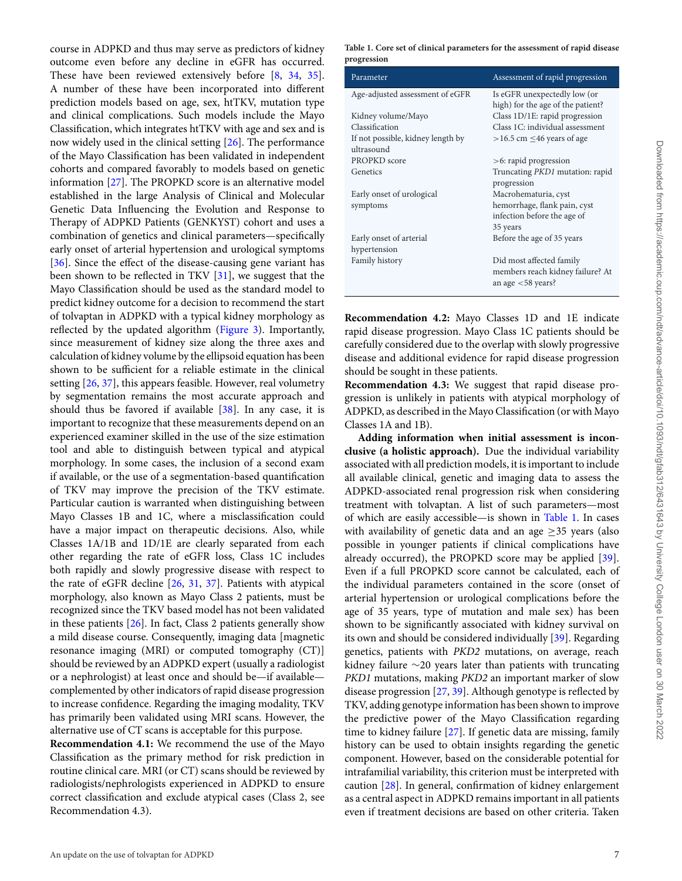Downloaded from https://academic.oup.com/nd/advance-article/doi/10.1093/nd/gfab312/643 by University College London user on 30 March 2022 Downloaded from https://academic.oup.com/ndt/advance-article/doi/10.1093/ndt/gfab312/6431643 by University College London user on 30 March 2022

course in ADPKD and thus may serve as predictors of kidney outcome even before any decline in eGFR has occurred. These have been reviewed extensively before [\[8,](#page-13-5) [34,](#page-13-30) [35\]](#page-13-31). A number of these have been incorporated into different prediction models based on age, sex, htTKV, mutation type and clinical complications. Such models include the Mayo Classification, which integrates htTKV with age and sex and is now widely used in the clinical setting [\[26\]](#page-13-23). The performance of the Mayo Classification has been validated in independent cohorts and compared favorably to models based on genetic information [\[27\]](#page-13-24). The PROPKD score is an alternative model established in the large Analysis of Clinical and Molecular Genetic Data Influencing the Evolution and Response to Therapy of ADPKD Patients (GENKYST) cohort and uses a combination of genetics and clinical parameters—specifically early onset of arterial hypertension and urological symptoms [\[36\]](#page-13-32). Since the effect of the disease-causing gene variant has been shown to be reflected in TKV [\[31\]](#page-13-28), we suggest that the Mayo Classification should be used as the standard model to predict kidney outcome for a decision to recommend the start of tolvaptan in ADPKD with a typical kidney morphology as reflected by the updated algorithm [\(Figure 3\)](#page-5-0). Importantly, since measurement of kidney size along the three axes and calculation of kidney volume by the ellipsoid equation has been shown to be sufficient for a reliable estimate in the clinical setting [\[26,](#page-13-23) [37\]](#page-13-33), this appears feasible. However, real volumetry by segmentation remains the most accurate approach and should thus be favored if available [\[38\]](#page-13-34). In any case, it is important to recognize that these measurements depend on an experienced examiner skilled in the use of the size estimation tool and able to distinguish between typical and atypical morphology. In some cases, the inclusion of a second exam if available, or the use of a segmentation-based quantification of TKV may improve the precision of the TKV estimate. Particular caution is warranted when distinguishing between Mayo Classes 1B and 1C, where a misclassification could have a major impact on therapeutic decisions. Also, while Classes 1A/1B and 1D/1E are clearly separated from each other regarding the rate of eGFR loss, Class 1C includes both rapidly and slowly progressive disease with respect to the rate of eGFR decline [\[26,](#page-13-23) [31,](#page-13-28) [37\]](#page-13-33). Patients with atypical morphology, also known as Mayo Class 2 patients, must be recognized since the TKV based model has not been validated in these patients [\[26\]](#page-13-23). In fact, Class 2 patients generally show a mild disease course. Consequently, imaging data [magnetic resonance imaging (MRI) or computed tomography (CT)] should be reviewed by an ADPKD expert (usually a radiologist or a nephrologist) at least once and should be—if available complemented by other indicators of rapid disease progression to increase confidence. Regarding the imaging modality, TKV has primarily been validated using MRI scans. However, the alternative use of CT scans is acceptable for this purpose.

**Recommendation 4.1:** We recommend the use of the Mayo Classification as the primary method for risk prediction in routine clinical care. MRI (or CT) scans should be reviewed by radiologists/nephrologists experienced in ADPKD to ensure correct classification and exclude atypical cases (Class 2, see Recommendation 4.3).

<span id="page-6-0"></span>**Table 1. Core set of clinical parameters for the assessment of rapid disease progression**

| Parameter                         | Assessment of rapid progression        |  |  |  |
|-----------------------------------|----------------------------------------|--|--|--|
| Age-adjusted assessment of eGFR   | Is eGFR unexpectedly low (or           |  |  |  |
|                                   | high) for the age of the patient?      |  |  |  |
| Kidney volume/Mayo                | Class 1D/1E: rapid progression         |  |  |  |
| Classification                    | Class 1C: individual assessment        |  |  |  |
| If not possible, kidney length by | $>16.5$ cm $\leq$ 46 years of age      |  |  |  |
| ultrasound                        |                                        |  |  |  |
| PROPKD score                      | $>6$ : rapid progression               |  |  |  |
| Genetics                          | Truncating <i>PKD1</i> mutation: rapid |  |  |  |
|                                   | progression                            |  |  |  |
| Early onset of urological         | Macrohematuria, cyst                   |  |  |  |
| symptoms                          | hemorrhage, flank pain, cyst           |  |  |  |
|                                   | infection before the age of            |  |  |  |
|                                   | 35 years                               |  |  |  |
| Early onset of arterial           | Before the age of 35 years             |  |  |  |
| hypertension                      |                                        |  |  |  |
| Family history                    | Did most affected family               |  |  |  |
|                                   | members reach kidney failure? At       |  |  |  |
|                                   | an age $<$ 58 years?                   |  |  |  |

**Recommendation 4.2:** Mayo Classes 1D and 1E indicate rapid disease progression. Mayo Class 1C patients should be carefully considered due to the overlap with slowly progressive disease and additional evidence for rapid disease progression should be sought in these patients.

**Recommendation 4.3:** We suggest that rapid disease progression is unlikely in patients with atypical morphology of ADPKD, as described in the Mayo Classification (or with Mayo Classes 1A and 1B).

**Adding information when initial assessment is inconclusive (a holistic approach).** Due the individual variability associated with all prediction models, it is important to include all available clinical, genetic and imaging data to assess the ADPKD-associated renal progression risk when considering treatment with tolvaptan. A list of such parameters—most of which are easily accessible—is shown in [Table 1.](#page-6-0) In cases with availability of genetic data and an age  $\geq$ 35 years (also possible in younger patients if clinical complications have already occurred), the PROPKD score may be applied [\[39\]](#page-13-35). Even if a full PROPKD score cannot be calculated, each of the individual parameters contained in the score (onset of arterial hypertension or urological complications before the age of 35 years, type of mutation and male sex) has been shown to be significantly associated with kidney survival on its own and should be considered individually [\[39\]](#page-13-35). Regarding genetics, patients with *PKD2* mutations, on average, reach kidney failure ∼20 years later than patients with truncating *PKD1* mutations, making *PKD2* an important marker of slow disease progression [\[27,](#page-13-24) [39\]](#page-13-35). Although genotype is reflected by TKV, adding genotype information has been shown to improve the predictive power of the Mayo Classification regarding time to kidney failure [\[27\]](#page-13-24). If genetic data are missing, family history can be used to obtain insights regarding the genetic component. However, based on the considerable potential for intrafamilial variability, this criterion must be interpreted with caution [\[28\]](#page-13-25). In general, confirmation of kidney enlargement as a central aspect in ADPKD remains important in all patients even if treatment decisions are based on other criteria. Taken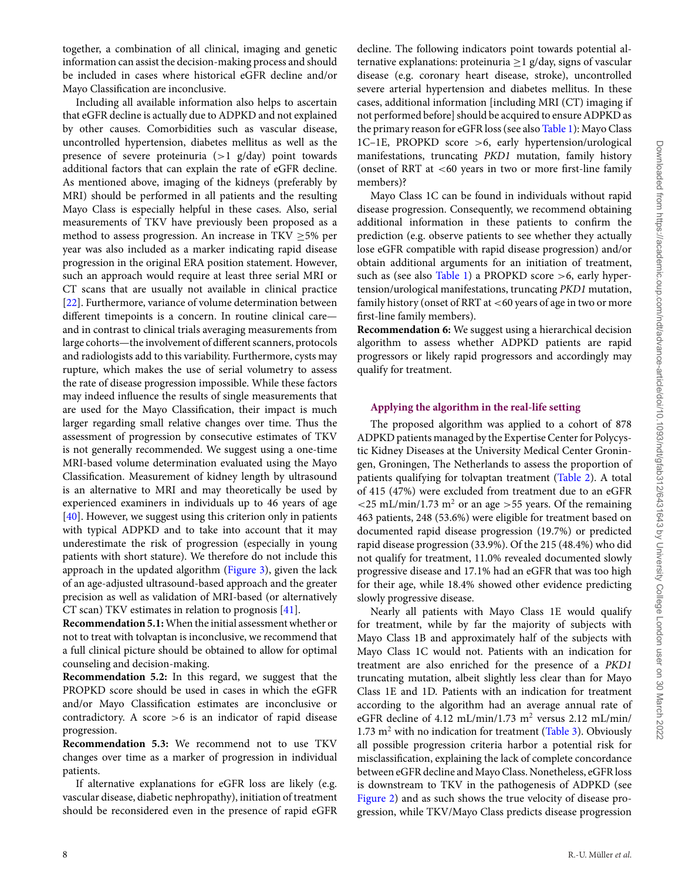together, a combination of all clinical, imaging and genetic information can assist the decision-making process and should be included in cases where historical eGFR decline and/or Mayo Classification are inconclusive.

Including all available information also helps to ascertain that eGFR decline is actually due to ADPKD and not explained by other causes. Comorbidities such as vascular disease, uncontrolled hypertension, diabetes mellitus as well as the presence of severe proteinuria  $(>1 \text{ g/day})$  point towards additional factors that can explain the rate of eGFR decline. As mentioned above, imaging of the kidneys (preferably by MRI) should be performed in all patients and the resulting Mayo Class is especially helpful in these cases. Also, serial measurements of TKV have previously been proposed as a method to assess progression. An increase in TKV  $\geq$ 5% per year was also included as a marker indicating rapid disease progression in the original ERA position statement. However, such an approach would require at least three serial MRI or CT scans that are usually not available in clinical practice [\[22\]](#page-13-19). Furthermore, variance of volume determination between different timepoints is a concern. In routine clinical care and in contrast to clinical trials averaging measurements from large cohorts—the involvement of different scanners, protocols and radiologists add to this variability. Furthermore, cysts may rupture, which makes the use of serial volumetry to assess the rate of disease progression impossible. While these factors may indeed influence the results of single measurements that are used for the Mayo Classification, their impact is much larger regarding small relative changes over time. Thus the assessment of progression by consecutive estimates of TKV is not generally recommended. We suggest using a one-time MRI-based volume determination evaluated using the Mayo Classification. Measurement of kidney length by ultrasound is an alternative to MRI and may theoretically be used by experienced examiners in individuals up to 46 years of age [\[40\]](#page-14-0). However, we suggest using this criterion only in patients with typical ADPKD and to take into account that it may underestimate the risk of progression (especially in young patients with short stature). We therefore do not include this approach in the updated algorithm [\(Figure 3\)](#page-5-0), given the lack of an age-adjusted ultrasound-based approach and the greater precision as well as validation of MRI-based (or alternatively CT scan) TKV estimates in relation to prognosis [\[41\]](#page-14-1).

**Recommendation 5.1:**When the initial assessment whether or not to treat with tolvaptan is inconclusive, we recommend that a full clinical picture should be obtained to allow for optimal counseling and decision-making.

**Recommendation 5.2:** In this regard, we suggest that the PROPKD score should be used in cases in which the eGFR and/or Mayo Classification estimates are inconclusive or contradictory. A score  $>6$  is an indicator of rapid disease progression.

**Recommendation 5.3:** We recommend not to use TKV changes over time as a marker of progression in individual patients.

If alternative explanations for eGFR loss are likely (e.g. vascular disease, diabetic nephropathy), initiation of treatment should be reconsidered even in the presence of rapid eGFR decline. The following indicators point towards potential alternative explanations: proteinuria  $\geq 1$  g/day, signs of vascular disease (e.g. coronary heart disease, stroke), uncontrolled severe arterial hypertension and diabetes mellitus. In these cases, additional information [including MRI (CT) imaging if not performed before] should be acquired to ensure ADPKD as the primary reason for eGFR loss (see also [Table 1\)](#page-6-0): Mayo Class 1C–1E, PROPKD score >6, early hypertension/urological manifestations, truncating *PKD1* mutation, family history (onset of RRT at  $<60$  years in two or more first-line family members)?

Mayo Class 1C can be found in individuals without rapid disease progression. Consequently, we recommend obtaining additional information in these patients to confirm the prediction (e.g. observe patients to see whether they actually lose eGFR compatible with rapid disease progression) and/or obtain additional arguments for an initiation of treatment, such as (see also [Table 1\)](#page-6-0) a PROPKD score >6, early hypertension/urological manifestations, truncating *PKD1* mutation, family history (onset of RRT at <60 years of age in two or more first-line family members).

**Recommendation 6:** We suggest using a hierarchical decision algorithm to assess whether ADPKD patients are rapid progressors or likely rapid progressors and accordingly may qualify for treatment.

#### **Applying the algorithm in the real-life setting**

The proposed algorithm was applied to a cohort of 878 ADPKD patients managed by the Expertise Center for Polycystic Kidney Diseases at the University Medical Center Groningen, Groningen, The Netherlands to assess the proportion of patients qualifying for tolvaptan treatment [\(Table 2\)](#page-8-0). A total of 415 (47%) were excluded from treatment due to an eGFR  $\langle$  <25 mL/min/1.73 m<sup>2</sup> or an age >55 years. Of the remaining 463 patients, 248 (53.6%) were eligible for treatment based on documented rapid disease progression (19.7%) or predicted rapid disease progression (33.9%). Of the 215 (48.4%) who did not qualify for treatment, 11.0% revealed documented slowly progressive disease and 17.1% had an eGFR that was too high for their age, while 18.4% showed other evidence predicting slowly progressive disease.

Nearly all patients with Mayo Class 1E would qualify for treatment, while by far the majority of subjects with Mayo Class 1B and approximately half of the subjects with Mayo Class 1C would not. Patients with an indication for treatment are also enriched for the presence of a *PKD1* truncating mutation, albeit slightly less clear than for Mayo Class 1E and 1D. Patients with an indication for treatment according to the algorithm had an average annual rate of eGFR decline of 4.12 mL/min/1.73 m<sup>2</sup> versus 2.12 mL/min/ 1.73  $m<sup>2</sup>$  with no indication for treatment [\(Table 3\)](#page-9-0). Obviously all possible progression criteria harbor a potential risk for misclassification, explaining the lack of complete concordance between eGFR decline and Mayo Class. Nonetheless, eGFR loss is downstream to TKV in the pathogenesis of ADPKD (see [Figure 2\)](#page-4-0) and as such shows the true velocity of disease progression, while TKV/Mayo Class predicts disease progression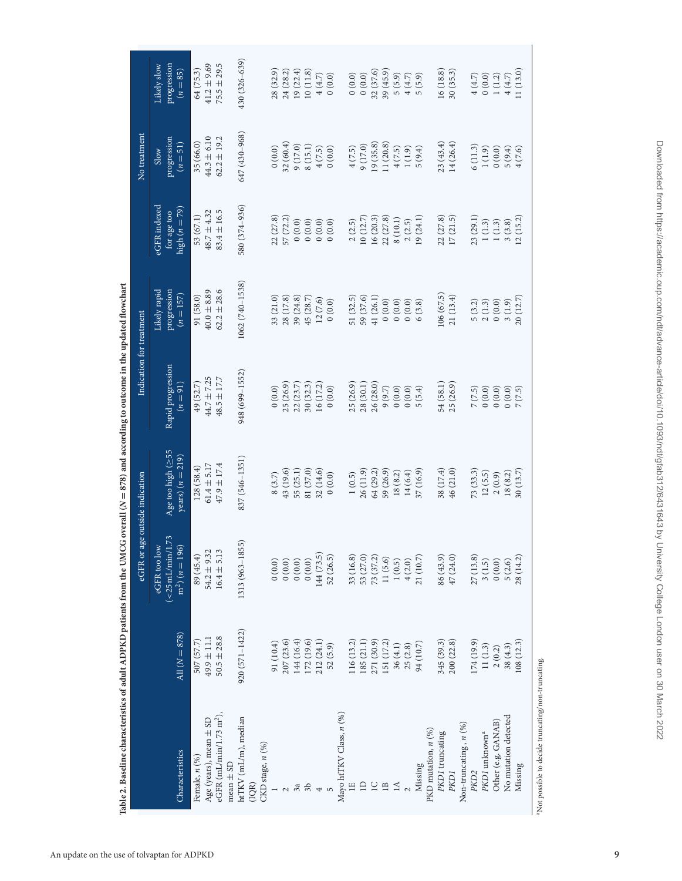| the construction of the contract of the contract of the contract of the contract of the contract of the contract of the contract of the contract of the contract of the contract of the contract of the contract of the contr |                 | eGFR or age outside indication                           |                                           | Indication for treatment        |                                            |                                                | No treatment                      |                                          |
|-------------------------------------------------------------------------------------------------------------------------------------------------------------------------------------------------------------------------------|-----------------|----------------------------------------------------------|-------------------------------------------|---------------------------------|--------------------------------------------|------------------------------------------------|-----------------------------------|------------------------------------------|
|                                                                                                                                                                                                                               |                 |                                                          |                                           |                                 |                                            |                                                |                                   |                                          |
| Characteristics                                                                                                                                                                                                               | All $(N = 878)$ | $(<25$ mL/min/1.73<br>$m2$ ( $n = 196$ )<br>eGFR too low | Age too high $(255$<br>years) $(n = 219)$ | Rapid progression<br>$(n = 91)$ | Likely rapid<br>progression<br>$(n = 157)$ | eGFR indexed<br>high $(n = 79)$<br>for age too | progression<br>$(n = 51)$<br>Slow | progression<br>Likely slow<br>$(n = 85)$ |
| Female, n (%)                                                                                                                                                                                                                 | 507 (57.7)      | 89 (45.4)                                                | 128(58.4)                                 | 49 (52.7)                       | 91 (58.0)                                  | 53 (67.1)                                      | 35 (66.0)                         | 64 (75.3)                                |
| Age (years), mean $\pm$ SD                                                                                                                                                                                                    | $49.9 \pm 11.1$ | $54.2 \pm 9.32$                                          | $61.4 \pm 5.17$                           | 44.7 ± 7.25                     | $40.0 \pm 8.89$                            | $48.7 \pm 4.32$                                | $44.3 \pm 6.10$                   | $41.2 \pm 9.69$                          |
| eGFR $(mL/min/1.73 m2)$ ,<br>$mean \pm SD$                                                                                                                                                                                    | $50.5 \pm 28.8$ | $16.4 \pm 5.13$                                          | $47.9 \pm 17.4$                           | $48.5 \pm 17.7$                 | $62.2 \pm 28.6$                            | $83.4 \pm 16.5$                                | $62.2 \pm 19.2$                   | $75.5 \pm 29.5$                          |
| htTKV (mL/m), median<br>CKD stage, n (%)<br>(IOR)                                                                                                                                                                             | 920 (571-1422)  | 1313 (963-1855)                                          | 837 (546–1351)                            | 948 (699-1552)                  | 1062 (740-1538)                            | 580 (374-936)                                  | 647 (430-968)                     | 430 (326–639)                            |
|                                                                                                                                                                                                                               | 91 (10.4)       | 0(0.0)                                                   | 8(3.7)                                    | (0.0)                           | 33 (21.0)                                  | 22(27.8)                                       | 0(0.0)                            | 28 (32.9)                                |
| $\mathcal{L}$                                                                                                                                                                                                                 | 207 (23.6)      | 0(0.0)                                                   | 43 (19.6)                                 | 25 (26.9)                       | 28 (17.8)                                  | 57 (72.2)                                      | 32(60.4)                          | 24 (28.2)                                |
|                                                                                                                                                                                                                               | 144 (16.4)      | $0(0.0)$                                                 | 55 (25.1)                                 | 22(23.7)                        | 39 (24.8)                                  | 0(0.0)                                         | 9(17.0)                           | 19(22.4)                                 |
| $3a$                                                                                                                                                                                                                          | 172 (19.6)      | 0(0.0)                                                   | 81 (37.0)                                 | 30(32.3)                        | 45 (28.7)                                  | 0(0.0)                                         | 8(15.1)                           | 10(11.8)                                 |
| $\overline{\phantom{a}}$                                                                                                                                                                                                      | 212 (24.1)      | 144 (73.5)                                               | 32 (14.6)                                 | 16 (17.2)                       | 12(7.6)                                    | 0(0.0)                                         | 4(7.5)                            | $4(4.7)$                                 |
|                                                                                                                                                                                                                               | 52 (5.9)        | 52 (26.5)                                                | 0(0.0)                                    | (0.0)                           | (0.0)                                      | 0(0.0)                                         | (0.0)                             | (0.0)                                    |
| Mayo htTKV Class, n (%)                                                                                                                                                                                                       |                 |                                                          |                                           |                                 |                                            |                                                |                                   |                                          |
| $\mathbb{H}$                                                                                                                                                                                                                  | 116 (13.2)      | 33 (16.8)                                                | 1(0.5)                                    | 25 (26.9)                       | 51 (32.5)                                  | 2(2.5)                                         | 4(7.5)                            | (0.0) 0                                  |
| $\Box$                                                                                                                                                                                                                        | 185 (21.1)      | 53 (27.0)                                                | 26 (11.9)                                 | 28 (30.1)                       | 59 (37.6)                                  | 10(12.7)                                       | 9(17.0)                           | (0.0)                                    |
| $\overline{\phantom{0}}$                                                                                                                                                                                                      | 271 (30.9)      | 73 (37.2)                                                | 64 (29.2)                                 | 26 (28.0)                       | 41 (26.1)                                  | 16(20.3)                                       | 19(35.8)                          | 32 (37.6)                                |
| $\Box$                                                                                                                                                                                                                        | 151 (17.2)      | 11(5.6)                                                  | 59 (26.9)                                 | 9(9.7)                          | (0.0)                                      | 22 (27.8)                                      | 11 (20.8)                         | 39(45.9)                                 |
| $\Delta$                                                                                                                                                                                                                      | 36(4.1)         | 1(0.5)                                                   | 18(8.2)                                   | 0(0.0)                          | $0\ (0.0)$                                 | 8(10.1)                                        | 4(7.5)                            | 5(5.9)                                   |
|                                                                                                                                                                                                                               | 25(2.8)         | 4(2.0)                                                   | 14(6.4)                                   | (0.0)                           | $0\ (0.0)$                                 | 2(2.5)                                         | 1(1.9)                            | $4(4.7)$                                 |
| Missing                                                                                                                                                                                                                       | 94 (10.7)       | 21 (10.7)                                                | 37(16.9)                                  | 5(5.4)                          | 6(3.8)                                     | 19 (24.1)                                      | 5(9.4)                            | 5(5.9)                                   |
| PKD mutation, $n$ (%)                                                                                                                                                                                                         |                 |                                                          |                                           |                                 |                                            |                                                |                                   |                                          |
| PKD1 truncating                                                                                                                                                                                                               | 345 (39.3)      | 86 (43.9)                                                | 38 (17.4)                                 | 54 (58.1)                       | 106(67.5)                                  | 22 (27.8)                                      | 23(43.4)                          | 16 (18.8)                                |
| PKD <sub>1</sub>                                                                                                                                                                                                              | 200 (22.8)      | 47(24.0)                                                 | 46 (21.0)                                 | 25 (26.9)                       | 21 (13.4)                                  | 17(21.5)                                       | 14 (26.4)                         | 30(35.3)                                 |
| Non-truncating , $n$ (%)                                                                                                                                                                                                      |                 |                                                          |                                           |                                 |                                            |                                                |                                   |                                          |
| PKD <sub>2</sub>                                                                                                                                                                                                              | 174 (19.9)      | 27(13.8)                                                 | 73(33.3)                                  | 7(7.5)                          | 5(3.2)                                     | 23 (29.1)                                      | 6(11.3)                           | 4(4.7)                                   |
| PKD I unknown <sup>a</sup>                                                                                                                                                                                                    | 11(1.3)         | 3(1.5)                                                   | 12(5.5)                                   | 0(0.0)                          | 2(1.3)                                     | 1(1.3)                                         | 1(1.9)                            | (0.0)                                    |
| Other (e.g. GANAB)                                                                                                                                                                                                            | 2(0.2)          | (0.0)                                                    | 2(0.9)                                    | (0.0) 0                         | $0\ (0.0)$                                 | $1\,(1.3)$                                     | 0(0.0)                            | $1\,(1.2)$                               |
| No mutation detected                                                                                                                                                                                                          | 38(4.3)         | 5(2.6)                                                   | 18(8.2)                                   | 0(0.0)                          | 3(1.9)                                     | 3(3.8)                                         | 5(9.4)                            | 4(4.7)                                   |
| Missing                                                                                                                                                                                                                       | 108 (12.3)      | 28 (14.2)                                                | 30(13.7)                                  | 7(7.5)                          | 20(12.7)                                   | 12(15.2)                                       | 4(7.6)                            | 11 (13.0)                                |
|                                                                                                                                                                                                                               |                 |                                                          |                                           |                                 |                                            |                                                |                                   |                                          |

me in the undated flowchart Table 2. Baseline characteristics of adult ADPKD patients from the UMCG overall (N = 878) and according to outcome in the updated flowchart  $\frac{1}{2}$ ś د سنة السب Table 2. Baseline characteristics of adult ADPKD patients from the UMCG overall  $(N = 878)$  and a

<span id="page-8-0"></span> $^{\rm a}$  Not possible to decide truncating/non-truncating. aNot possible to decide truncating/non-truncating.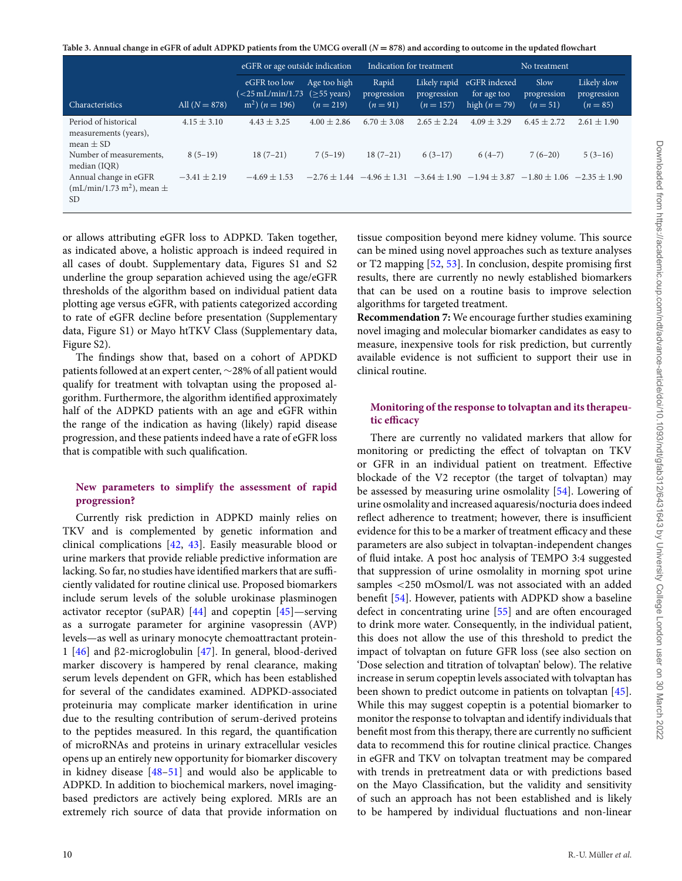<span id="page-9-0"></span>**Table 3. Annual change in eGFR of adult ADPKD patients from the UMCG overall (***<sup>N</sup>* **<sup>=</sup> 878) and according to outcome in the updated flowchart**

|                                                                 |                  |                                                                                         | eGFR or age outside indication<br>Indication for treatment |                                  | No treatment                               |                                                |                                 |                                          |
|-----------------------------------------------------------------|------------------|-----------------------------------------------------------------------------------------|------------------------------------------------------------|----------------------------------|--------------------------------------------|------------------------------------------------|---------------------------------|------------------------------------------|
| Characteristics                                                 | All $(N = 878)$  | eGFR too low<br>$\left( < 25 \,\mathrm{mL/min} / 1.73 \right)$<br>$m^2$ ) ( $n = 196$ ) | Age too high<br>$($ >55 years)<br>$(n = 219)$              | Rapid<br>progression<br>$(n=91)$ | Likely rapid<br>progression<br>$(n = 157)$ | eGFR indexed<br>for age too<br>high $(n = 79)$ | Slow<br>progression<br>$(n=51)$ | Likely slow<br>progression<br>$(n = 85)$ |
| Period of historical<br>measurements (years),<br>mean $\pm$ SD  | $4.15 \pm 3.10$  | $4.43 \pm 3.25$                                                                         | $4.00 \pm 2.86$                                            | $6.70 \pm 3.08$                  | $2.65 + 2.24$                              | $4.09 \pm 3.29$                                | $6.45 \pm 2.72$                 | $2.61 \pm 1.90$                          |
| Number of measurements.<br>median (IQR)                         | $8(5-19)$        | $18(7-21)$                                                                              | $7(5-19)$                                                  | $18(7-21)$                       | $6(3-17)$                                  | $6(4-7)$                                       | $7(6-20)$                       | $5(3-16)$                                |
| Annual change in eGFR<br>$(mL/min/1.73 m2)$ , mean $\pm$<br>SD. | $-3.41 \pm 2.19$ | $-4.69 + 1.53$                                                                          |                                                            | $-2.76 + 1.44 - 4.96 + 1.31$     |                                            | $-3.64 + 1.90 -1.94 + 3.87$                    | $-1.80 + 1.06 -2.35 + 1.90$     |                                          |

or allows attributing eGFR loss to ADPKD. Taken together, as indicated above, a holistic approach is indeed required in all cases of doubt. Supplementary data, Figures S1 and S2 underline the group separation achieved using the age/eGFR thresholds of the algorithm based on individual patient data plotting age versus eGFR, with patients categorized according to rate of eGFR decline before presentation (Supplementary data, Figure S1) or Mayo htTKV Class (Supplementary data, Figure S2).

The findings show that, based on a cohort of APDKD patients followed at an expert center, ∼28% of all patient would qualify for treatment with tolvaptan using the proposed algorithm. Furthermore, the algorithm identified approximately half of the ADPKD patients with an age and eGFR within the range of the indication as having (likely) rapid disease progression, and these patients indeed have a rate of eGFR loss that is compatible with such qualification.

# **New parameters to simplify the assessment of rapid progression?**

Currently risk prediction in ADPKD mainly relies on TKV and is complemented by genetic information and clinical complications [\[42,](#page-14-2) [43\]](#page-14-3). Easily measurable blood or urine markers that provide reliable predictive information are lacking. So far, no studies have identified markers that are sufficiently validated for routine clinical use. Proposed biomarkers include serum levels of the soluble urokinase plasminogen activator receptor (suPAR) [\[44\]](#page-14-4) and copeptin [\[45\]](#page-14-5)—serving as a surrogate parameter for arginine vasopressin (AVP) levels—as well as urinary monocyte chemoattractant protein-1 [\[46\]](#page-14-6) and β2-microglobulin [\[47\]](#page-14-7). In general, blood-derived marker discovery is hampered by renal clearance, making serum levels dependent on GFR, which has been established for several of the candidates examined. ADPKD-associated proteinuria may complicate marker identification in urine due to the resulting contribution of serum-derived proteins to the peptides measured. In this regard, the quantification of microRNAs and proteins in urinary extracellular vesicles opens up an entirely new opportunity for biomarker discovery in kidney disease [\[48–](#page-14-8)[51\]](#page-14-9) and would also be applicable to ADPKD. In addition to biochemical markers, novel imagingbased predictors are actively being explored. MRIs are an extremely rich source of data that provide information on tissue composition beyond mere kidney volume. This source can be mined using novel approaches such as texture analyses or T2 mapping [\[52,](#page-14-10) [53\]](#page-14-11). In conclusion, despite promising first results, there are currently no newly established biomarkers that can be used on a routine basis to improve selection algorithms for targeted treatment.

**Recommendation 7:** We encourage further studies examining novel imaging and molecular biomarker candidates as easy to measure, inexpensive tools for risk prediction, but currently available evidence is not sufficient to support their use in clinical routine.

# **Monitoring of the response to tolvaptan and its therapeutic efficacy**

There are currently no validated markers that allow for monitoring or predicting the effect of tolvaptan on TKV or GFR in an individual patient on treatment. Effective blockade of the V2 receptor (the target of tolvaptan) may be assessed by measuring urine osmolality [\[54\]](#page-14-12). Lowering of urine osmolality and increased aquaresis/nocturia does indeed reflect adherence to treatment; however, there is insufficient evidence for this to be a marker of treatment efficacy and these parameters are also subject in tolvaptan-independent changes of fluid intake. A post hoc analysis of TEMPO 3:4 suggested that suppression of urine osmolality in morning spot urine samples <250 mOsmol/L was not associated with an added benefit [\[54\]](#page-14-12). However, patients with ADPKD show a baseline defect in concentrating urine [\[55\]](#page-14-13) and are often encouraged to drink more water. Consequently, in the individual patient, this does not allow the use of this threshold to predict the impact of tolvaptan on future GFR loss (see also section on 'Dose selection and titration of tolvaptan' below). The relative increase in serum copeptin levels associated with tolvaptan has been shown to predict outcome in patients on tolvaptan [\[45\]](#page-14-5). While this may suggest copeptin is a potential biomarker to monitor the response to tolvaptan and identify individuals that benefit most from this therapy, there are currently no sufficient data to recommend this for routine clinical practice. Changes in eGFR and TKV on tolvaptan treatment may be compared with trends in pretreatment data or with predictions based on the Mayo Classification, but the validity and sensitivity of such an approach has not been established and is likely to be hampered by individual fluctuations and non-linear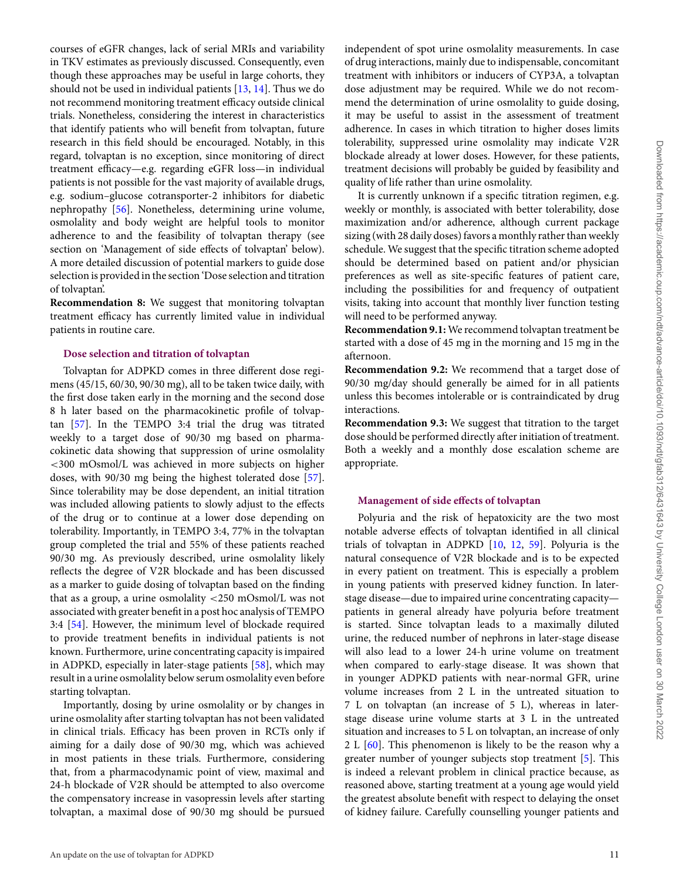courses of eGFR changes, lack of serial MRIs and variability in TKV estimates as previously discussed. Consequently, even though these approaches may be useful in large cohorts, they should not be used in individual patients [\[13,](#page-13-11) [14\]](#page-13-36). Thus we do not recommend monitoring treatment efficacy outside clinical trials. Nonetheless, considering the interest in characteristics that identify patients who will benefit from tolvaptan, future research in this field should be encouraged. Notably, in this regard, tolvaptan is no exception, since monitoring of direct treatment efficacy—e.g. regarding eGFR loss—in individual patients is not possible for the vast majority of available drugs, e.g. sodium–glucose cotransporter-2 inhibitors for diabetic nephropathy [\[56\]](#page-14-14). Nonetheless, determining urine volume, osmolality and body weight are helpful tools to monitor adherence to and the feasibility of tolvaptan therapy (see section on 'Management of side effects of tolvaptan' below). A more detailed discussion of potential markers to guide dose selection is provided in the section 'Dose selection and titration of tolvaptan'.

**Recommendation 8:** We suggest that monitoring tolvaptan treatment efficacy has currently limited value in individual patients in routine care.

#### **Dose selection and titration of tolvaptan**

Tolvaptan for ADPKD comes in three different dose regimens (45/15, 60/30, 90/30 mg), all to be taken twice daily, with the first dose taken early in the morning and the second dose 8 h later based on the pharmacokinetic profile of tolvaptan [\[57\]](#page-14-15). In the TEMPO 3:4 trial the drug was titrated weekly to a target dose of 90/30 mg based on pharmacokinetic data showing that suppression of urine osmolality <300 mOsmol/L was achieved in more subjects on higher doses, with 90/30 mg being the highest tolerated dose [\[57\]](#page-14-15). Since tolerability may be dose dependent, an initial titration was included allowing patients to slowly adjust to the effects of the drug or to continue at a lower dose depending on tolerability. Importantly, in TEMPO 3:4, 77% in the tolvaptan group completed the trial and 55% of these patients reached 90/30 mg. As previously described, urine osmolality likely reflects the degree of V2R blockade and has been discussed as a marker to guide dosing of tolvaptan based on the finding that as a group, a urine osmolality <250 mOsmol/L was not associated with greater benefit in a post hoc analysis of TEMPO 3:4 [\[54\]](#page-14-12). However, the minimum level of blockade required to provide treatment benefits in individual patients is not known. Furthermore, urine concentrating capacity is impaired in ADPKD, especially in later-stage patients [\[58\]](#page-14-16), which may result in a urine osmolality below serum osmolality even before starting tolvaptan.

Importantly, dosing by urine osmolality or by changes in urine osmolality after starting tolvaptan has not been validated in clinical trials. Efficacy has been proven in RCTs only if aiming for a daily dose of 90/30 mg, which was achieved in most patients in these trials. Furthermore, considering that, from a pharmacodynamic point of view, maximal and 24-h blockade of V2R should be attempted to also overcome the compensatory increase in vasopressin levels after starting tolvaptan, a maximal dose of 90/30 mg should be pursued

independent of spot urine osmolality measurements. In case of drug interactions, mainly due to indispensable, concomitant treatment with inhibitors or inducers of CYP3A, a tolvaptan dose adjustment may be required. While we do not recommend the determination of urine osmolality to guide dosing, it may be useful to assist in the assessment of treatment adherence. In cases in which titration to higher doses limits tolerability, suppressed urine osmolality may indicate V2R blockade already at lower doses. However, for these patients, treatment decisions will probably be guided by feasibility and quality of life rather than urine osmolality.

It is currently unknown if a specific titration regimen, e.g. weekly or monthly, is associated with better tolerability, dose maximization and/or adherence, although current package sizing (with 28 daily doses) favors a monthly rather than weekly schedule. We suggest that the specific titration scheme adopted should be determined based on patient and/or physician preferences as well as site-specific features of patient care, including the possibilities for and frequency of outpatient visits, taking into account that monthly liver function testing will need to be performed anyway.

**Recommendation 9.1:** We recommend tolvaptan treatment be started with a dose of 45 mg in the morning and 15 mg in the afternoon.

**Recommendation 9.2:** We recommend that a target dose of 90/30 mg/day should generally be aimed for in all patients unless this becomes intolerable or is contraindicated by drug interactions.

**Recommendation 9.3:** We suggest that titration to the target dose should be performed directly after initiation of treatment. Both a weekly and a monthly dose escalation scheme are appropriate.

#### **Management of side effects of tolvaptan**

Polyuria and the risk of hepatoxicity are the two most notable adverse effects of tolvaptan identified in all clinical trials of tolvaptan in ADPKD [\[10,](#page-13-8) [12,](#page-13-10) [59\]](#page-14-17). Polyuria is the natural consequence of V2R blockade and is to be expected in every patient on treatment. This is especially a problem in young patients with preserved kidney function. In laterstage disease—due to impaired urine concentrating capacity patients in general already have polyuria before treatment is started. Since tolvaptan leads to a maximally diluted urine, the reduced number of nephrons in later-stage disease will also lead to a lower 24-h urine volume on treatment when compared to early-stage disease. It was shown that in younger ADPKD patients with near-normal GFR, urine volume increases from 2 L in the untreated situation to 7 L on tolvaptan (an increase of 5 L), whereas in laterstage disease urine volume starts at 3 L in the untreated situation and increases to 5 L on tolvaptan, an increase of only 2 L  $[60]$ . This phenomenon is likely to be the reason why a greater number of younger subjects stop treatment [\[5\]](#page-13-3). This is indeed a relevant problem in clinical practice because, as reasoned above, starting treatment at a young age would yield the greatest absolute benefit with respect to delaying the onset of kidney failure. Carefully counselling younger patients and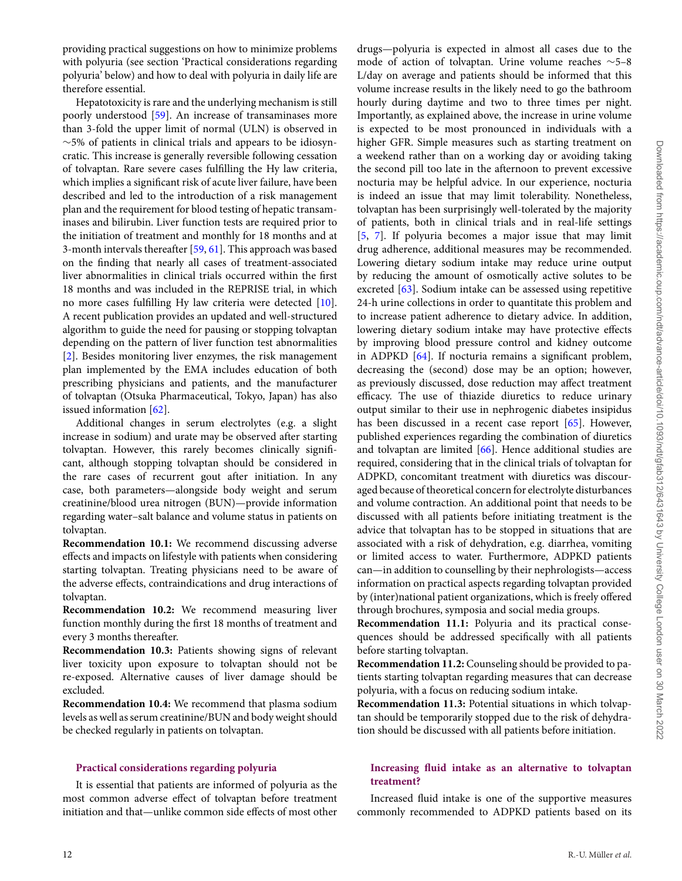providing practical suggestions on how to minimize problems with polyuria (see section 'Practical considerations regarding polyuria' below) and how to deal with polyuria in daily life are therefore essential.

Hepatotoxicity is rare and the underlying mechanism is still poorly understood [\[59\]](#page-14-17). An increase of transaminases more than 3-fold the upper limit of normal (ULN) is observed in ∼5% of patients in clinical trials and appears to be idiosyncratic. This increase is generally reversible following cessation of tolvaptan. Rare severe cases fulfilling the Hy law criteria, which implies a significant risk of acute liver failure, have been described and led to the introduction of a risk management plan and the requirement for blood testing of hepatic transaminases and bilirubin. Liver function tests are required prior to the initiation of treatment and monthly for 18 months and at 3-month intervals thereafter [\[59,](#page-14-17) [61\]](#page-14-19). This approach was based on the finding that nearly all cases of treatment-associated liver abnormalities in clinical trials occurred within the first 18 months and was included in the REPRISE trial, in which no more cases fulfilling Hy law criteria were detected [\[10\]](#page-13-8). A recent publication provides an updated and well-structured algorithm to guide the need for pausing or stopping tolvaptan depending on the pattern of liver function test abnormalities [\[2\]](#page-13-7). Besides monitoring liver enzymes, the risk management plan implemented by the EMA includes education of both prescribing physicians and patients, and the manufacturer of tolvaptan (Otsuka Pharmaceutical, Tokyo, Japan) has also issued information [\[62\]](#page-14-20).

Additional changes in serum electrolytes (e.g. a slight increase in sodium) and urate may be observed after starting tolvaptan. However, this rarely becomes clinically significant, although stopping tolvaptan should be considered in the rare cases of recurrent gout after initiation. In any case, both parameters—alongside body weight and serum creatinine/blood urea nitrogen (BUN)—provide information regarding water–salt balance and volume status in patients on tolvaptan.

**Recommendation 10.1:** We recommend discussing adverse effects and impacts on lifestyle with patients when considering starting tolvaptan. Treating physicians need to be aware of the adverse effects, contraindications and drug interactions of tolvaptan.

**Recommendation 10.2:** We recommend measuring liver function monthly during the first 18 months of treatment and every 3 months thereafter.

**Recommendation 10.3:** Patients showing signs of relevant liver toxicity upon exposure to tolvaptan should not be re-exposed. Alternative causes of liver damage should be excluded.

**Recommendation 10.4:** We recommend that plasma sodium levels as well as serum creatinine/BUN and body weight should be checked regularly in patients on tolvaptan.

### **Practical considerations regarding polyuria**

It is essential that patients are informed of polyuria as the most common adverse effect of tolvaptan before treatment initiation and that—unlike common side effects of most other

drugs—polyuria is expected in almost all cases due to the mode of action of tolvaptan. Urine volume reaches ∼5–8 L/day on average and patients should be informed that this volume increase results in the likely need to go the bathroom hourly during daytime and two to three times per night. Importantly, as explained above, the increase in urine volume is expected to be most pronounced in individuals with a higher GFR. Simple measures such as starting treatment on a weekend rather than on a working day or avoiding taking the second pill too late in the afternoon to prevent excessive nocturia may be helpful advice. In our experience, nocturia is indeed an issue that may limit tolerability. Nonetheless, tolvaptan has been surprisingly well-tolerated by the majority of patients, both in clinical trials and in real-life settings [\[5,](#page-13-3) [7\]](#page-13-4). If polyuria becomes a major issue that may limit drug adherence, additional measures may be recommended. Lowering dietary sodium intake may reduce urine output by reducing the amount of osmotically active solutes to be excreted [\[63\]](#page-14-21). Sodium intake can be assessed using repetitive 24-h urine collections in order to quantitate this problem and to increase patient adherence to dietary advice. In addition, lowering dietary sodium intake may have protective effects by improving blood pressure control and kidney outcome in ADPKD [\[64\]](#page-14-22). If nocturia remains a significant problem, decreasing the (second) dose may be an option; however, as previously discussed, dose reduction may affect treatment efficacy. The use of thiazide diuretics to reduce urinary output similar to their use in nephrogenic diabetes insipidus has been discussed in a recent case report [\[65\]](#page-14-23). However, published experiences regarding the combination of diuretics and tolvaptan are limited [\[66\]](#page-14-24). Hence additional studies are required, considering that in the clinical trials of tolvaptan for ADPKD, concomitant treatment with diuretics was discouraged because of theoretical concern for electrolyte disturbances and volume contraction. An additional point that needs to be discussed with all patients before initiating treatment is the advice that tolvaptan has to be stopped in situations that are associated with a risk of dehydration, e.g. diarrhea, vomiting or limited access to water. Furthermore, ADPKD patients can—in addition to counselling by their nephrologists—access information on practical aspects regarding tolvaptan provided by (inter)national patient organizations, which is freely offered through brochures, symposia and social media groups.

**Recommendation 11.1:** Polyuria and its practical consequences should be addressed specifically with all patients before starting tolvaptan.

**Recommendation 11.2:** Counseling should be provided to patients starting tolvaptan regarding measures that can decrease polyuria, with a focus on reducing sodium intake.

**Recommendation 11.3:** Potential situations in which tolvaptan should be temporarily stopped due to the risk of dehydration should be discussed with all patients before initiation.

# **Increasing fluid intake as an alternative to tolvaptan treatment?**

Increased fluid intake is one of the supportive measures commonly recommended to ADPKD patients based on its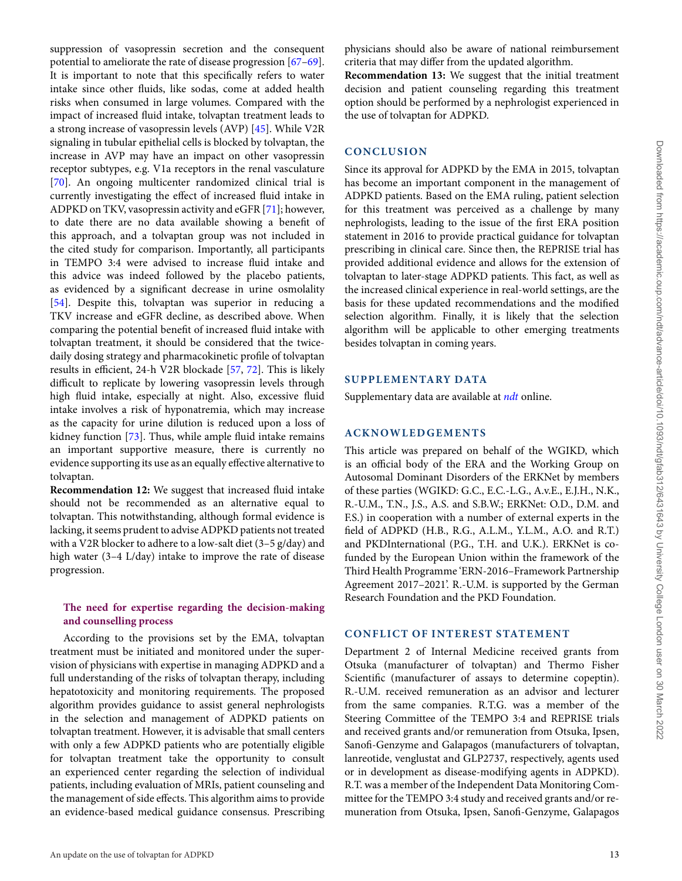suppression of vasopressin secretion and the consequent potential to ameliorate the rate of disease progression [\[67](#page-14-25)[–69\]](#page-14-26). It is important to note that this specifically refers to water intake since other fluids, like sodas, come at added health risks when consumed in large volumes. Compared with the impact of increased fluid intake, tolvaptan treatment leads to a strong increase of vasopressin levels (AVP) [\[45\]](#page-14-5). While V2R signaling in tubular epithelial cells is blocked by tolvaptan, the increase in AVP may have an impact on other vasopressin receptor subtypes, e.g. V1a receptors in the renal vasculature [\[70\]](#page-14-27). An ongoing multicenter randomized clinical trial is currently investigating the effect of increased fluid intake in ADPKD on TKV, vasopressin activity and eGFR [\[71\]](#page-14-28); however, to date there are no data available showing a benefit of this approach, and a tolvaptan group was not included in the cited study for comparison. Importantly, all participants in TEMPO 3:4 were advised to increase fluid intake and this advice was indeed followed by the placebo patients, as evidenced by a significant decrease in urine osmolality [\[54\]](#page-14-12). Despite this, tolvaptan was superior in reducing a TKV increase and eGFR decline, as described above. When comparing the potential benefit of increased fluid intake with tolvaptan treatment, it should be considered that the twicedaily dosing strategy and pharmacokinetic profile of tolvaptan results in efficient, 24-h V2R blockade [\[57,](#page-14-15) [72\]](#page-14-29). This is likely difficult to replicate by lowering vasopressin levels through high fluid intake, especially at night. Also, excessive fluid intake involves a risk of hyponatremia, which may increase as the capacity for urine dilution is reduced upon a loss of kidney function [\[73\]](#page-14-30). Thus, while ample fluid intake remains an important supportive measure, there is currently no evidence supporting its use as an equally effective alternative to tolvaptan.

**Recommendation 12:** We suggest that increased fluid intake should not be recommended as an alternative equal to tolvaptan. This notwithstanding, although formal evidence is lacking, it seems prudent to advise ADPKD patients not treated with a V2R blocker to adhere to a low-salt diet (3–5 g/day) and high water (3–4 L/day) intake to improve the rate of disease progression.

# **The need for expertise regarding the decision-making and counselling process**

According to the provisions set by the EMA, tolvaptan treatment must be initiated and monitored under the supervision of physicians with expertise in managing ADPKD and a full understanding of the risks of tolvaptan therapy, including hepatotoxicity and monitoring requirements. The proposed algorithm provides guidance to assist general nephrologists in the selection and management of ADPKD patients on tolvaptan treatment. However, it is advisable that small centers with only a few ADPKD patients who are potentially eligible for tolvaptan treatment take the opportunity to consult an experienced center regarding the selection of individual patients, including evaluation of MRIs, patient counseling and the management of side effects. This algorithm aims to provide an evidence-based medical guidance consensus. Prescribing

physicians should also be aware of national reimbursement criteria that may differ from the updated algorithm.

**Recommendation 13:** We suggest that the initial treatment decision and patient counseling regarding this treatment option should be performed by a nephrologist experienced in the use of tolvaptan for ADPKD.

# **CONCLUSION**

Since its approval for ADPKD by the EMA in 2015, tolvaptan has become an important component in the management of ADPKD patients. Based on the EMA ruling, patient selection for this treatment was perceived as a challenge by many nephrologists, leading to the issue of the first ERA position statement in 2016 to provide practical guidance for tolvaptan prescribing in clinical care. Since then, the REPRISE trial has provided additional evidence and allows for the extension of tolvaptan to later-stage ADPKD patients. This fact, as well as the increased clinical experience in real-world settings, are the basis for these updated recommendations and the modified selection algorithm. Finally, it is likely that the selection algorithm will be applicable to other emerging treatments besides tolvaptan in coming years.

# **SUPPLEMENTARY DATA**

Supplementary data are available at *[ndt](https://academic.oup.com/ndt/article-lookup/doi/10.1093/ndt/gfab312#supplementary-data)* online.

# **ACKNOWLEDGEMENTS**

This article was prepared on behalf of the WGIKD, which is an official body of the ERA and the Working Group on Autosomal Dominant Disorders of the ERKNet by members of these parties (WGIKD: G.C., E.C.-L.G., A.v.E., E.J.H., N.K., R.-U.M., T.N., J.S., A.S. and S.B.W.; ERKNet: O.D., D.M. and F.S.) in cooperation with a number of external experts in the field of ADPKD (H.B., R.G., A.L.M., Y.L.M., A.O. and R.T.) and PKDInternational (P.G., T.H. and U.K.). ERKNet is cofunded by the European Union within the framework of the Third Health Programme 'ERN-2016–Framework Partnership Agreement 2017–2021'. R.-U.M. is supported by the German Research Foundation and the PKD Foundation.

### **CONFLICT OF INTEREST STATEMENT**

Department 2 of Internal Medicine received grants from Otsuka (manufacturer of tolvaptan) and Thermo Fisher Scientific (manufacturer of assays to determine copeptin). R.-U.M. received remuneration as an advisor and lecturer from the same companies. R.T.G. was a member of the Steering Committee of the TEMPO 3:4 and REPRISE trials and received grants and/or remuneration from Otsuka, Ipsen, Sanofi-Genzyme and Galapagos (manufacturers of tolvaptan, lanreotide, venglustat and GLP2737, respectively, agents used or in development as disease-modifying agents in ADPKD). R.T. was a member of the Independent Data Monitoring Committee for the TEMPO 3:4 study and received grants and/or remuneration from Otsuka, Ipsen, Sanofi-Genzyme, Galapagos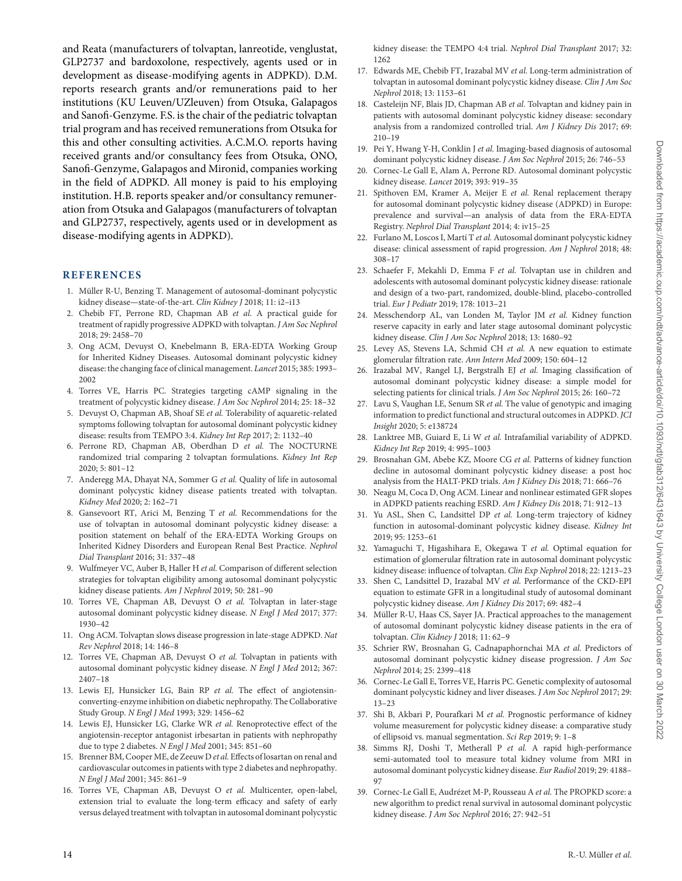and Reata (manufacturers of tolvaptan, lanreotide, venglustat, GLP2737 and bardoxolone, respectively, agents used or in development as disease-modifying agents in ADPKD). D.M. reports research grants and/or remunerations paid to her institutions (KU Leuven/UZleuven) from Otsuka, Galapagos and Sanofi-Genzyme. F.S. is the chair of the pediatric tolvaptan trial program and has received remunerations from Otsuka for this and other consulting activities. A.C.M.O. reports having received grants and/or consultancy fees from Otsuka, ONO, Sanofi-Genzyme, Galapagos and Mironid, companies working in the field of ADPKD. All money is paid to his employing institution. H.B. reports speaker and/or consultancy remuneration from Otsuka and Galapagos (manufacturers of tolvaptan and GLP2737, respectively, agents used or in development as disease-modifying agents in ADPKD).

### **REFERENCES**

- <span id="page-13-0"></span>1. Müller R-U, Benzing T. Management of autosomal-dominant polycystic kidney disease—state-of-the-art. *Clin Kidney J* 2018; 11: i2–i13
- <span id="page-13-7"></span>2. Chebib FT, Perrone RD, Chapman AB *et al.* A practical guide for treatment of rapidly progressive ADPKD with tolvaptan. *J Am Soc Nephrol* 2018; 29: 2458–70
- <span id="page-13-1"></span>3. Ong ACM, Devuyst O, Knebelmann B, ERA-EDTA Working Group for Inherited Kidney Diseases. Autosomal dominant polycystic kidney disease: the changing face of clinical management. *Lancet* 2015; 385: 1993– 2002
- <span id="page-13-2"></span>4. Torres VE, Harris PC. Strategies targeting cAMP signaling in the treatment of polycystic kidney disease. *J Am Soc Nephrol* 2014; 25: 18–32
- <span id="page-13-3"></span>5. Devuyst O, Chapman AB, Shoaf SE *et al.* Tolerability of aquaretic-related symptoms following tolvaptan for autosomal dominant polycystic kidney disease: results from TEMPO 3:4. *Kidney Int Rep* 2017; 2: 1132–40
- 6. Perrone RD, Chapman AB, Oberdhan D *et al.* The NOCTURNE randomized trial comparing 2 tolvaptan formulations. *Kidney Int Rep* 2020; 5: 801–12
- <span id="page-13-4"></span>7. Anderegg MA, Dhayat NA, Sommer G *et al.* Quality of life in autosomal dominant polycystic kidney disease patients treated with tolvaptan. *Kidney Med* 2020; 2: 162–71
- <span id="page-13-5"></span>8. Gansevoort RT, Arici M, Benzing T *et al.* Recommendations for the use of tolvaptan in autosomal dominant polycystic kidney disease: a position statement on behalf of the ERA-EDTA Working Groups on Inherited Kidney Disorders and European Renal Best Practice. *Nephrol Dial Transplant* 2016; 31: 337–48
- <span id="page-13-6"></span>9. Wulfmeyer VC, Auber B, Haller H *et al.* Comparison of different selection strategies for tolvaptan eligibility among autosomal dominant polycystic kidney disease patients. *Am J Nephrol* 2019; 50: 281–90
- <span id="page-13-8"></span>10. Torres VE, Chapman AB, Devuyst O *et al.* Tolvaptan in later-stage autosomal dominant polycystic kidney disease. *N Engl J Med* 2017; 377: 1930–42
- <span id="page-13-9"></span>11. Ong ACM. Tolvaptan slows disease progression in late-stage ADPKD. *Nat Rev Nephrol* 2018; 14: 146–8
- <span id="page-13-10"></span>12. Torres VE, Chapman AB, Devuyst O *et al.* Tolvaptan in patients with autosomal dominant polycystic kidney disease. *N Engl J Med* 2012; 367: 2407–18
- <span id="page-13-11"></span>13. Lewis EJ, Hunsicker LG, Bain RP *et al.* The effect of angiotensinconverting-enzyme inhibition on diabetic nephropathy. The Collaborative Study Group. *N Engl J Med* 1993; 329: 1456–62
- <span id="page-13-36"></span>14. Lewis EJ, Hunsicker LG, Clarke WR *et al.* Renoprotective effect of the angiotensin-receptor antagonist irbesartan in patients with nephropathy due to type 2 diabetes. *N Engl J Med* 2001; 345: 851–60
- <span id="page-13-12"></span>15. Brenner BM, Cooper ME, de Zeeuw D *et al.* Effects of losartan on renal and cardiovascular outcomes in patients with type 2 diabetes and nephropathy. *N Engl J Med* 2001; 345: 861–9
- <span id="page-13-13"></span>16. Torres VE, Chapman AB, Devuyst O *et al.* Multicenter, open-label, extension trial to evaluate the long-term efficacy and safety of early versus delayed treatment with tolvaptan in autosomal dominant polycystic

kidney disease: the TEMPO 4:4 trial. *Nephrol Dial Transplant* 2017; 32: 1262

- <span id="page-13-14"></span>17. Edwards ME, Chebib FT, Irazabal MV *et al.* Long-term administration of tolvaptan in autosomal dominant polycystic kidney disease. *Clin J Am Soc Nephrol* 2018; 13: 1153–61
- <span id="page-13-15"></span>18. Casteleijn NF, Blais JD, Chapman AB *et al.* Tolvaptan and kidney pain in patients with autosomal dominant polycystic kidney disease: secondary analysis from a randomized controlled trial. *Am J Kidney Dis* 2017; 69: 210–19
- <span id="page-13-16"></span>19. Pei Y, Hwang Y-H, Conklin J *et al.* Imaging-based diagnosis of autosomal dominant polycystic kidney disease. *J Am Soc Nephrol* 2015; 26: 746–53
- <span id="page-13-17"></span>20. Cornec-Le Gall E, Alam A, Perrone RD. Autosomal dominant polycystic kidney disease. *Lancet* 2019; 393: 919–35
- <span id="page-13-18"></span>21. Spithoven EM, Kramer A, Meijer E *et al.* Renal replacement therapy for autosomal dominant polycystic kidney disease (ADPKD) in Europe: prevalence and survival—an analysis of data from the ERA-EDTA Registry. *Nephrol Dial Transplant* 2014; 4: iv15–25
- <span id="page-13-19"></span>22. Furlano M, Loscos I, Martí T *et al.* Autosomal dominant polycystic kidney disease: clinical assessment of rapid progression. *Am J Nephrol* 2018; 48: 308–17
- <span id="page-13-20"></span>23. Schaefer F, Mekahli D, Emma F *et al.* Tolvaptan use in children and adolescents with autosomal dominant polycystic kidney disease: rationale and design of a two-part, randomized, double-blind, placebo-controlled trial. *Eur J Pediatr* 2019; 178: 1013–21
- <span id="page-13-21"></span>24. Messchendorp AL, van Londen M, Taylor JM *et al.* Kidney function reserve capacity in early and later stage autosomal dominant polycystic kidney disease. *Clin J Am Soc Nephrol* 2018; 13: 1680–92
- <span id="page-13-22"></span>25. Levey AS, Stevens LA, Schmid CH *et al.* A new equation to estimate glomerular filtration rate. *Ann Intern Med* 2009; 150: 604–12
- <span id="page-13-23"></span>26. Irazabal MV, Rangel LJ, Bergstralh EJ *et al.* Imaging classification of autosomal dominant polycystic kidney disease: a simple model for selecting patients for clinical trials. *J Am Soc Nephrol* 2015; 26: 160–72
- <span id="page-13-24"></span>27. Lavu S, Vaughan LE, Senum SR *et al.* The value of genotypic and imaging information to predict functional and structural outcomes in ADPKD. *JCI Insight* 2020; 5: e138724
- <span id="page-13-25"></span>28. Lanktree MB, Guiard E, Li W *et al.* Intrafamilial variability of ADPKD. *Kidney Int Rep* 2019; 4: 995–1003
- <span id="page-13-26"></span>29. Brosnahan GM, Abebe KZ, Moore CG *et al.* Patterns of kidney function decline in autosomal dominant polycystic kidney disease: a post hoc analysis from the HALT-PKD trials. *Am J Kidney Dis* 2018; 71: 666–76
- <span id="page-13-27"></span>30. Neagu M, Coca D, Ong ACM. Linear and nonlinear estimated GFR slopes in ADPKD patients reaching ESRD. *Am J Kidney Dis* 2018; 71: 912–13
- <span id="page-13-28"></span>31. Yu ASL, Shen C, Landsittel DP *et al.* Long-term trajectory of kidney function in autosomal-dominant polycystic kidney disease. *Kidney Int* 2019; 95: 1253–61
- 32. Yamaguchi T, Higashihara E, Okegawa T *et al.* Optimal equation for estimation of glomerular filtration rate in autosomal dominant polycystic kidney disease: influence of tolvaptan. *Clin Exp Nephrol* 2018; 22: 1213–23
- <span id="page-13-29"></span>33. Shen C, Landsittel D, Irazabal MV *et al.* Performance of the CKD-EPI equation to estimate GFR in a longitudinal study of autosomal dominant polycystic kidney disease. *Am J Kidney Dis* 2017; 69: 482–4
- <span id="page-13-30"></span>34. Müller R-U, Haas CS, Sayer JA. Practical approaches to the management of autosomal dominant polycystic kidney disease patients in the era of tolvaptan. *Clin Kidney J* 2018; 11: 62–9
- <span id="page-13-31"></span>35. Schrier RW, Brosnahan G, Cadnapaphornchai MA *et al.* Predictors of autosomal dominant polycystic kidney disease progression. *J Am Soc Nephrol* 2014; 25: 2399–418
- <span id="page-13-32"></span>36. Cornec-Le Gall E, Torres VE, Harris PC. Genetic complexity of autosomal dominant polycystic kidney and liver diseases. *J Am Soc Nephrol* 2017; 29: 13–23
- <span id="page-13-33"></span>37. Shi B, Akbari P, Pourafkari M *et al.* Prognostic performance of kidney volume measurement for polycystic kidney disease: a comparative study of ellipsoid vs. manual segmentation. *Sci Rep* 2019; 9: 1–8
- <span id="page-13-34"></span>38. Simms RJ, Doshi T, Metherall P *et al.* A rapid high-performance semi-automated tool to measure total kidney volume from MRI in autosomal dominant polycystic kidney disease. *Eur Radiol* 2019; 29: 4188– 97
- <span id="page-13-35"></span>39. Cornec-Le Gall E, Audrézet M-P, Rousseau A *et al.* The PROPKD score: a new algorithm to predict renal survival in autosomal dominant polycystic kidney disease. *J Am Soc Nephrol* 2016; 27: 942–51